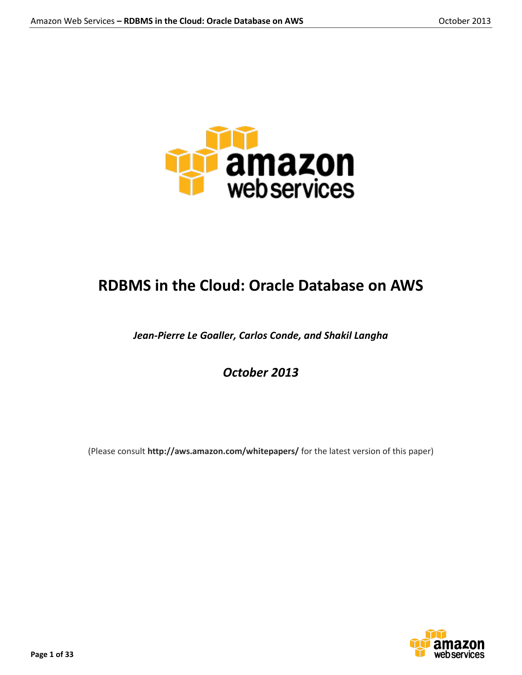

# **RDBMS in the Cloud: Oracle Database on AWS**

*Jean-Pierre Le Goaller, Carlos Conde, and Shakil Langha*

*October 2013*

(Please consult **http://aws.amazon.com/whitepapers/** for the latest version of this paper)

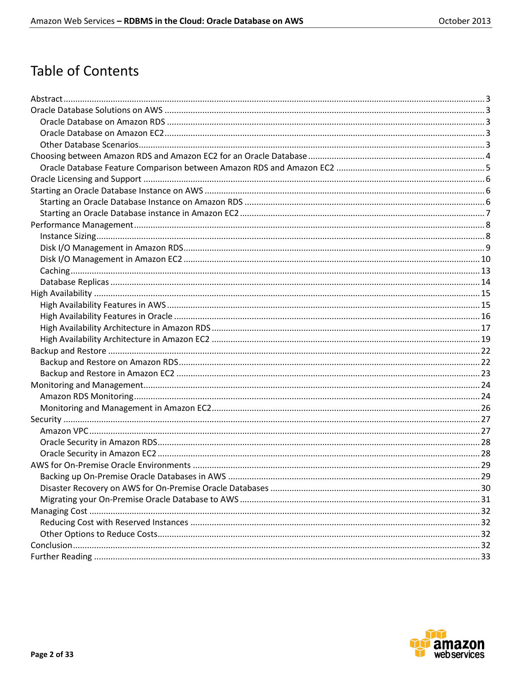# **Table of Contents**

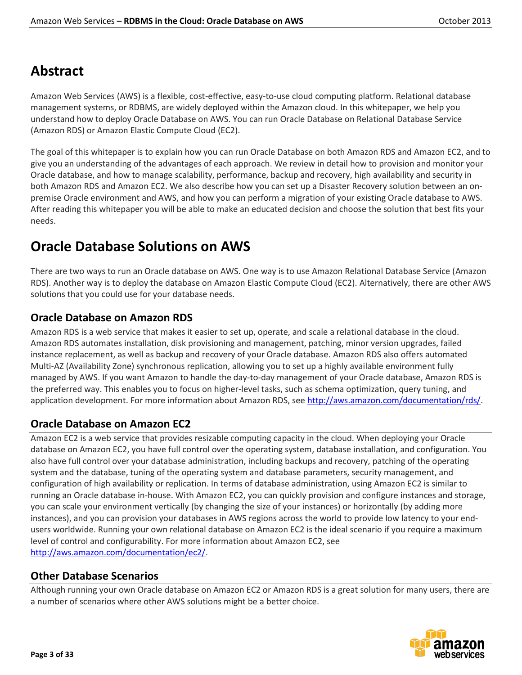# **Abstract**

Amazon Web Services (AWS) is a flexible, cost-effective, easy-to-use cloud computing platform. Relational database management systems, or RDBMS, are widely deployed within the Amazon cloud. In this whitepaper, we help you understand how to deploy Oracle Database on AWS. You can run Oracle Database on Relational Database Service (Amazon RDS) or Amazon Elastic Compute Cloud (EC2).

The goal of this whitepaper is to explain how you can run Oracle Database on both Amazon RDS and Amazon EC2, and to give you an understanding of the advantages of each approach. We review in detail how to provision and monitor your Oracle database, and how to manage scalability, performance, backup and recovery, high availability and security in both Amazon RDS and Amazon EC2. We also describe how you can set up a Disaster Recovery solution between an onpremise Oracle environment and AWS, and how you can perform a migration of your existing Oracle database to AWS. After reading this whitepaper you will be able to make an educated decision and choose the solution that best fits your needs.

# **Oracle Database Solutions on AWS**

There are two ways to run an Oracle database on AWS. One way is to use Amazon Relational Database Service (Amazon RDS). Another way is to deploy the database on Amazon Elastic Compute Cloud (EC2). Alternatively, there are other AWS solutions that you could use for your database needs.

# **Oracle Database on Amazon RDS**

Amazon RDS is a web service that makes it easier to set up, operate, and scale a relational database in the cloud. Amazon RDS automates installation, disk provisioning and management, patching, minor version upgrades, failed instance replacement, as well as backup and recovery of your Oracle database. Amazon RDS also offers automated Multi-AZ (Availability Zone) synchronous replication, allowing you to set up a highly available environment fully managed by AWS. If you want Amazon to handle the day-to-day management of your Oracle database, Amazon RDS is the preferred way. This enables you to focus on higher-level tasks, such as schema optimization, query tuning, and application development. For more information about Amazon RDS, see [http://aws.amazon.com/documentation/rds/.](http://aws.amazon.com/documentation/rds/)

# **Oracle Database on Amazon EC2**

Amazon EC2 is a web service that provides resizable computing capacity in the cloud. When deploying your Oracle database on Amazon EC2, you have full control over the operating system, database installation, and configuration. You also have full control over your database administration, including backups and recovery, patching of the operating system and the database, tuning of the operating system and database parameters, security management, and configuration of high availability or replication. In terms of database administration, using Amazon EC2 is similar to running an Oracle database in-house. With Amazon EC2, you can quickly provision and configure instances and storage, you can scale your environment vertically (by changing the size of your instances) or horizontally (by adding more instances), and you can provision your databases in AWS regions across the world to provide low latency to your endusers worldwide. Running your own relational database on Amazon EC2 is the ideal scenario if you require a maximum level of control and configurability. For more information about Amazon EC2, see [http://aws.amazon.com/documentation/ec2/.](http://aws.amazon.com/documentation/ec2/)

# **Other Database Scenarios**

Although running your own Oracle database on Amazon EC2 or Amazon RDS is a great solution for many users, there are a number of scenarios where other AWS solutions might be a better choice.

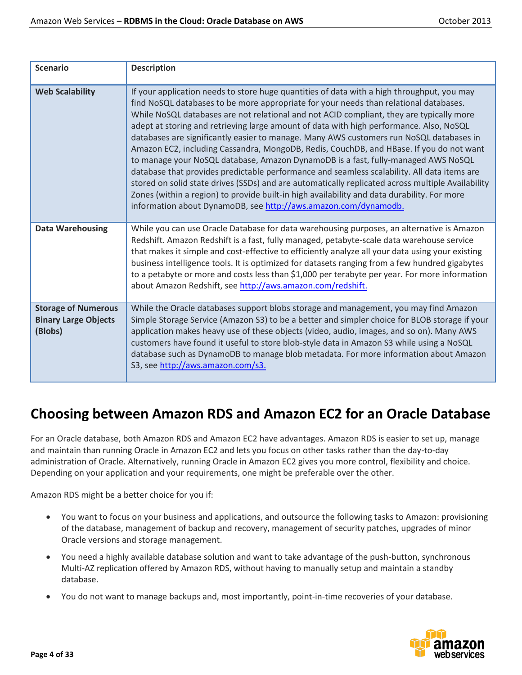| <b>Scenario</b>                                                      | <b>Description</b>                                                                                                                                                                                                                                                                                                                                                                                                                                                                                                                                                                                                                                                                                                                                                                                                                                                                                                                                                                                                          |
|----------------------------------------------------------------------|-----------------------------------------------------------------------------------------------------------------------------------------------------------------------------------------------------------------------------------------------------------------------------------------------------------------------------------------------------------------------------------------------------------------------------------------------------------------------------------------------------------------------------------------------------------------------------------------------------------------------------------------------------------------------------------------------------------------------------------------------------------------------------------------------------------------------------------------------------------------------------------------------------------------------------------------------------------------------------------------------------------------------------|
| <b>Web Scalability</b>                                               | If your application needs to store huge quantities of data with a high throughput, you may<br>find NoSQL databases to be more appropriate for your needs than relational databases.<br>While NoSQL databases are not relational and not ACID compliant, they are typically more<br>adept at storing and retrieving large amount of data with high performance. Also, NoSQL<br>databases are significantly easier to manage. Many AWS customers run NoSQL databases in<br>Amazon EC2, including Cassandra, MongoDB, Redis, CouchDB, and HBase. If you do not want<br>to manage your NoSQL database, Amazon DynamoDB is a fast, fully-managed AWS NoSQL<br>database that provides predictable performance and seamless scalability. All data items are<br>stored on solid state drives (SSDs) and are automatically replicated across multiple Availability<br>Zones (within a region) to provide built-in high availability and data durability. For more<br>information about DynamoDB, see http://aws.amazon.com/dynamodb. |
| <b>Data Warehousing</b>                                              | While you can use Oracle Database for data warehousing purposes, an alternative is Amazon<br>Redshift. Amazon Redshift is a fast, fully managed, petabyte-scale data warehouse service<br>that makes it simple and cost-effective to efficiently analyze all your data using your existing<br>business intelligence tools. It is optimized for datasets ranging from a few hundred gigabytes<br>to a petabyte or more and costs less than \$1,000 per terabyte per year. For more information<br>about Amazon Redshift, see http://aws.amazon.com/redshift.                                                                                                                                                                                                                                                                                                                                                                                                                                                                 |
| <b>Storage of Numerous</b><br><b>Binary Large Objects</b><br>(Blobs) | While the Oracle databases support blobs storage and management, you may find Amazon<br>Simple Storage Service (Amazon S3) to be a better and simpler choice for BLOB storage if your<br>application makes heavy use of these objects (video, audio, images, and so on). Many AWS<br>customers have found it useful to store blob-style data in Amazon S3 while using a NoSQL<br>database such as DynamoDB to manage blob metadata. For more information about Amazon<br>S3, see http://aws.amazon.com/s3.                                                                                                                                                                                                                                                                                                                                                                                                                                                                                                                  |

# **Choosing between Amazon RDS and Amazon EC2 for an Oracle Database**

For an Oracle database, both Amazon RDS and Amazon EC2 have advantages. Amazon RDS is easier to set up, manage and maintain than running Oracle in Amazon EC2 and lets you focus on other tasks rather than the day-to-day administration of Oracle. Alternatively, running Oracle in Amazon EC2 gives you more control, flexibility and choice. Depending on your application and your requirements, one might be preferable over the other.

Amazon RDS might be a better choice for you if:

- You want to focus on your business and applications, and outsource the following tasks to Amazon: provisioning of the database, management of backup and recovery, management of security patches, upgrades of minor Oracle versions and storage management.
- You need a highly available database solution and want to take advantage of the push-button, synchronous Multi-AZ replication offered by Amazon RDS, without having to manually setup and maintain a standby database.
- You do not want to manage backups and, most importantly, point-in-time recoveries of your database.

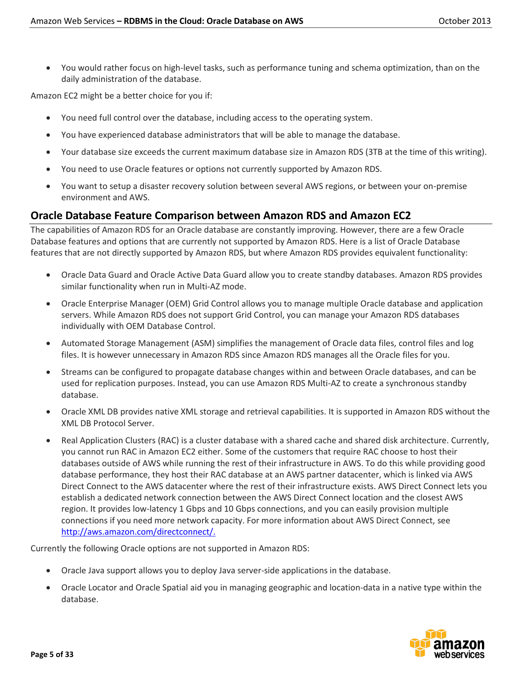You would rather focus on high-level tasks, such as performance tuning and schema optimization, than on the daily administration of the database.

Amazon EC2 might be a better choice for you if:

- You need full control over the database, including access to the operating system.
- You have experienced database administrators that will be able to manage the database.
- Your database size exceeds the current maximum database size in Amazon RDS (3TB at the time of this writing).
- You need to use Oracle features or options not currently supported by Amazon RDS.
- You want to setup a disaster recovery solution between several AWS regions, or between your on-premise environment and AWS.

## **Oracle Database Feature Comparison between Amazon RDS and Amazon EC2**

The capabilities of Amazon RDS for an Oracle database are constantly improving. However, there are a few Oracle Database features and options that are currently not supported by Amazon RDS. Here is a list of Oracle Database features that are not directly supported by Amazon RDS, but where Amazon RDS provides equivalent functionality:

- Oracle Data Guard and Oracle Active Data Guard allow you to create standby databases. Amazon RDS provides similar functionality when run in Multi-AZ mode.
- Oracle Enterprise Manager (OEM) Grid Control allows you to manage multiple Oracle database and application servers. While Amazon RDS does not support Grid Control, you can manage your Amazon RDS databases individually with OEM Database Control.
- Automated Storage Management (ASM) simplifies the management of Oracle data files, control files and log files. It is however unnecessary in Amazon RDS since Amazon RDS manages all the Oracle files for you.
- Streams can be configured to propagate database changes within and between Oracle databases, and can be used for replication purposes. Instead, you can use Amazon RDS Multi-AZ to create a synchronous standby database.
- Oracle XML DB provides native XML storage and retrieval capabilities. It is supported in Amazon RDS without the XML DB Protocol Server.
- Real Application Clusters (RAC) is a cluster database with a shared cache and shared disk architecture. Currently, you cannot run RAC in Amazon EC2 either. Some of the customers that require RAC choose to host their databases outside of AWS while running the rest of their infrastructure in AWS. To do this while providing good database performance, they host their RAC database at an AWS partner datacenter, which is linked via AWS Direct Connect to the AWS datacenter where the rest of their infrastructure exists. AWS Direct Connect lets you establish a dedicated network connection between the AWS Direct Connect location and the closest AWS region. It provides low-latency 1 Gbps and 10 Gbps connections, and you can easily provision multiple connections if you need more network capacity. For more information about AWS Direct Connect, see [http://aws.amazon.com/directconnect/.](http://aws.amazon.com/directconnect/)

Currently the following Oracle options are not supported in Amazon RDS:

- Oracle Java support allows you to deploy Java server-side applications in the database.
- Oracle Locator and Oracle Spatial aid you in managing geographic and location-data in a native type within the database.

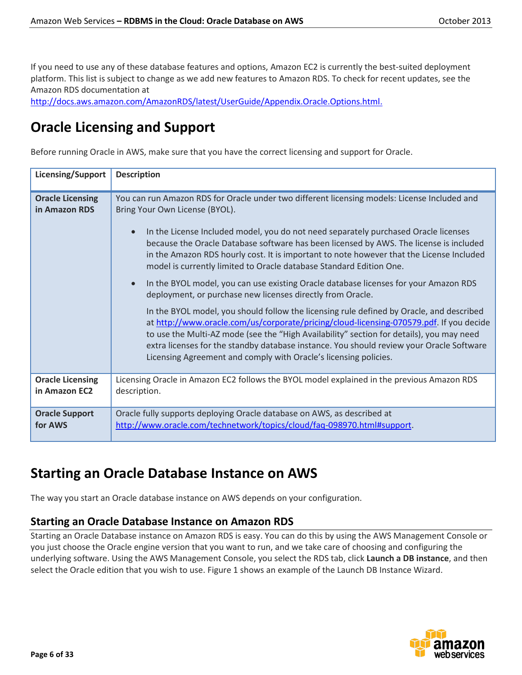If you need to use any of these database features and options, Amazon EC2 is currently the best-suited deployment platform. This list is subject to change as we add new features to Amazon RDS. To check for recent updates, see the Amazon RDS documentation at

[http://docs.aws.amazon.com/AmazonRDS/latest/UserGuide/Appendix.Oracle.Options.html.](http://docs.aws.amazon.com/AmazonRDS/latest/UserGuide/Appendix.Oracle.Options.html)

# **Oracle Licensing and Support**

Before running Oracle in AWS, make sure that you have the correct licensing and support for Oracle.

| Licensing/Support                        | <b>Description</b>                                                                                                                                                                                                                                                                                                                                                                                                                              |  |
|------------------------------------------|-------------------------------------------------------------------------------------------------------------------------------------------------------------------------------------------------------------------------------------------------------------------------------------------------------------------------------------------------------------------------------------------------------------------------------------------------|--|
| <b>Oracle Licensing</b><br>in Amazon RDS | You can run Amazon RDS for Oracle under two different licensing models: License Included and<br>Bring Your Own License (BYOL).                                                                                                                                                                                                                                                                                                                  |  |
|                                          | In the License Included model, you do not need separately purchased Oracle licenses<br>$\bullet$<br>because the Oracle Database software has been licensed by AWS. The license is included<br>in the Amazon RDS hourly cost. It is important to note however that the License Included<br>model is currently limited to Oracle database Standard Edition One.                                                                                   |  |
|                                          | In the BYOL model, you can use existing Oracle database licenses for your Amazon RDS<br>$\bullet$<br>deployment, or purchase new licenses directly from Oracle.                                                                                                                                                                                                                                                                                 |  |
|                                          | In the BYOL model, you should follow the licensing rule defined by Oracle, and described<br>at http://www.oracle.com/us/corporate/pricing/cloud-licensing-070579.pdf. If you decide<br>to use the Multi-AZ mode (see the "High Availability" section for details), you may need<br>extra licenses for the standby database instance. You should review your Oracle Software<br>Licensing Agreement and comply with Oracle's licensing policies. |  |
| <b>Oracle Licensing</b><br>in Amazon EC2 | Licensing Oracle in Amazon EC2 follows the BYOL model explained in the previous Amazon RDS<br>description.                                                                                                                                                                                                                                                                                                                                      |  |
| <b>Oracle Support</b><br>for AWS         | Oracle fully supports deploying Oracle database on AWS, as described at<br>http://www.oracle.com/technetwork/topics/cloud/faq-098970.html#support.                                                                                                                                                                                                                                                                                              |  |

# **Starting an Oracle Database Instance on AWS**

The way you start an Oracle database instance on AWS depends on your configuration.

## **Starting an Oracle Database Instance on Amazon RDS**

Starting an Oracle Database instance on Amazon RDS is easy. You can do this by using the AWS Management Console or you just choose the Oracle engine version that you want to run, and we take care of choosing and configuring the underlying software. Using the AWS Management Console, you select the RDS tab, click **Launch a DB instance**, and then select the Oracle edition that you wish to use. Figure 1 shows an example of the Launch DB Instance Wizard.

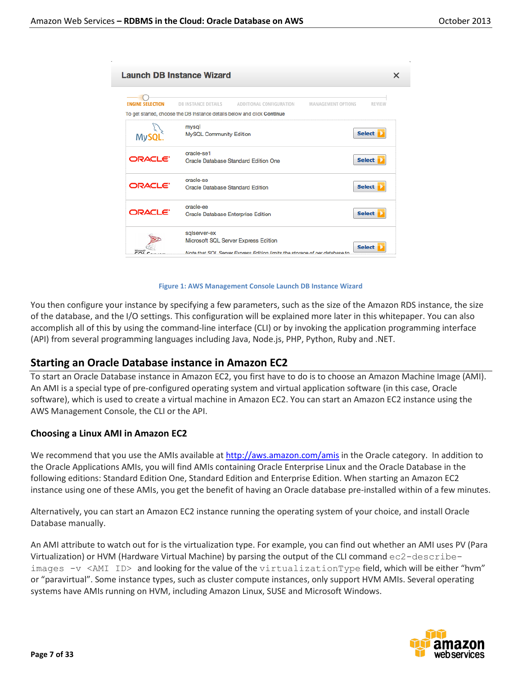| <b>Launch DB Instance Wizard</b><br>x |                                                                                                                                     |                                            |  |  |
|---------------------------------------|-------------------------------------------------------------------------------------------------------------------------------------|--------------------------------------------|--|--|
| <b>ENGINE SELECTION</b>               | <b>DB INSTANCE DETAILS</b><br>ADDITIONAL CONFIGURATION<br>To get started, choose the DB Instance details below and click Continue   | <b>MANAGEMENT OPTIONS</b><br><b>REVIEW</b> |  |  |
| <b>MySQ</b>                           | mysql<br><b>MySQL Community Edition</b>                                                                                             | <b>Select</b>                              |  |  |
| ORACLE <sup>®</sup>                   | oracle-se1<br>Oracle Database Standard Edition One                                                                                  | <b>Select</b>                              |  |  |
| ORACLE <sup>®</sup>                   | oracle-se<br><b>Select</b><br>Oracle Database Standard Edition                                                                      |                                            |  |  |
| ORACLE <sup>®</sup>                   | oracle-ee<br><b>Oracle Database Enterprise Edition</b>                                                                              | <b>Select</b>                              |  |  |
|                                       | sqlserver-ex<br>Microsoft SQL Server Express Edition<br>Note that SOL. Senier Express Edition limits the storage of per database to | <b>Select</b>                              |  |  |

#### **Figure 1: AWS Management Console Launch DB Instance Wizard**

You then configure your instance by specifying a few parameters, such as the size of the Amazon RDS instance, the size of the database, and the I/O settings. This configuration will be explained more later in this whitepaper. You can also accomplish all of this by using the command-line interface (CLI) or by invoking the application programming interface (API) from several programming languages including Java, Node.js, PHP, Python, Ruby and .NET.

## **Starting an Oracle Database instance in Amazon EC2**

To start an Oracle Database instance in Amazon EC2, you first have to do is to choose an Amazon Machine Image (AMI). An AMI is a special type of pre-configured operating system and virtual application software (in this case, Oracle software), which is used to create a virtual machine in Amazon EC2. You can start an Amazon EC2 instance using the AWS Management Console, the CLI or the API.

### **Choosing a Linux AMI in Amazon EC2**

We recommend that you use the AMIs available at<http://aws.amazon.com/amis> in the Oracle category. In addition to the Oracle Applications AMIs, you will find AMIs containing Oracle Enterprise Linux and the Oracle Database in the following editions: Standard Edition One, Standard Edition and Enterprise Edition. When starting an Amazon EC2 instance using one of these AMIs, you get the benefit of having an Oracle database pre-installed within of a few minutes.

Alternatively, you can start an Amazon EC2 instance running the operating system of your choice, and install Oracle Database manually.

An AMI attribute to watch out for is the virtualization type. For example, you can find out whether an AMI uses PV (Para Virtualization) or HVM (Hardware Virtual Machine) by parsing the output of the CLI command ec2-describeimages  $-v$  <AMI ID> and looking for the value of the virtualizationType field, which will be either "hvm" or "paravirtual". Some instance types, such as cluster compute instances, only support HVM AMIs. Several operating systems have AMIs running on HVM, including Amazon Linux, SUSE and Microsoft Windows.

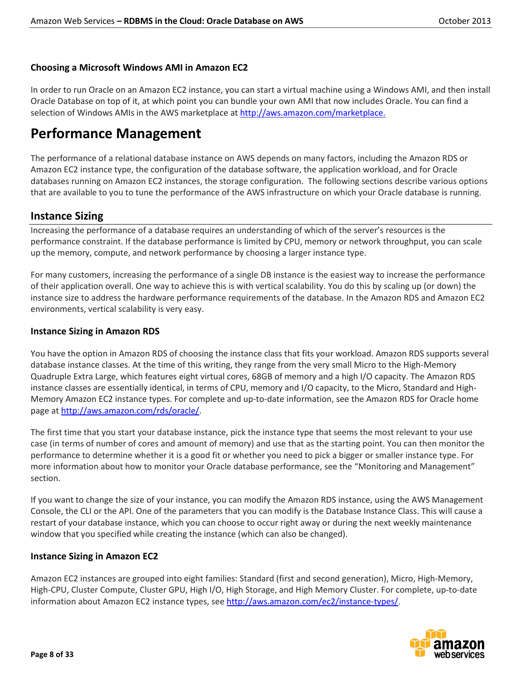## **Choosing a Microsoft Windows AMI in Amazon EC2**

In order to run Oracle on an Amazon EC2 instance, you can start a virtual machine using a Windows AMI, and then install Oracle Database on top of it, at which point you can bundle your own AMI that now includes Oracle. You can find a selection of Windows AMIs in the AWS marketplace a[t http://aws.amazon.com/marketplace.](http://aws.amazon.com/marketplace)

# **Performance Management**

The performance of a relational database instance on AWS depends on many factors, including the Amazon RDS or Amazon EC2 instance type, the configuration of the database software, the application workload, and for Oracle databases running on Amazon EC2 instances, the storage configuration. The following sections describe various options that are available to you to tune the performance of the AWS infrastructure on which your Oracle database is running.

## **Instance Sizing**

Increasing the performance of a database requires an understanding of which of the server's resources is the performance constraint. If the database performance is limited by CPU, memory or network throughput, you can scale up the memory, compute, and network performance by choosing a larger instance type.

For many customers, increasing the performance of a single DB instance is the easiest way to increase the performance of their application overall. One way to achieve this is with vertical scalability. You do this by scaling up (or down) the instance size to address the hardware performance requirements of the database. In the Amazon RDS and Amazon EC2 environments, vertical scalability is very easy.

## **Instance Sizing in Amazon RDS**

You have the option in Amazon RDS of choosing the instance class that fits your workload. Amazon RDS supports several database instance classes. At the time of this writing, they range from the very small Micro to the High-Memory Quadruple Extra Large, which features eight virtual cores, 68GB of memory and a high I/O capacity. The Amazon RDS instance classes are essentially identical, in terms of CPU, memory and I/O capacity, to the Micro, Standard and High-Memory Amazon EC2 instance types. For complete and up-to-date information, see the Amazon RDS for Oracle home page a[t http://aws.amazon.com/rds/oracle/.](http://aws.amazon.com/rds/oracle/)

The first time that you start your database instance, pick the instance type that seems the most relevant to your use case (in terms of number of cores and amount of memory) and use that as the starting point. You can then monitor the performance to determine whether it is a good fit or whether you need to pick a bigger or smaller instance type. For more information about how to monitor your Oracle database performance, see the "Monitoring and Management" section.

If you want to change the size of your instance, you can modify the Amazon RDS instance, using the AWS Management Console, the CLI or the API. One of the parameters that you can modify is the Database Instance Class. This will cause a restart of your database instance, which you can choose to occur right away or during the next weekly maintenance window that you specified while creating the instance (which can also be changed).

## **Instance Sizing in Amazon EC2**

Amazon EC2 instances are grouped into eight families: Standard (first and second generation), Micro, High-Memory, High-CPU, Cluster Compute, Cluster GPU, High I/O, High Storage, and High Memory Cluster. For complete, up-to-date information about Amazon EC2 instance types, see [http://aws.amazon.com/ec2/instance-types/.](http://aws.amazon.com/ec2/instance-types/)

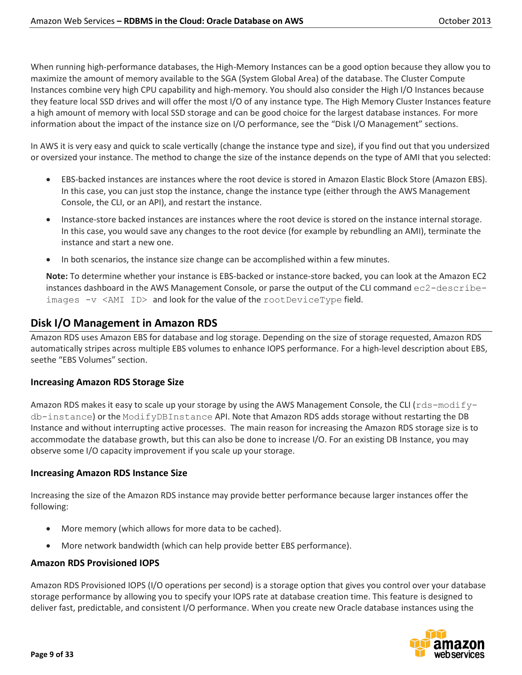When running high-performance databases, the High-Memory Instances can be a good option because they allow you to maximize the amount of memory available to the SGA (System Global Area) of the database. The Cluster Compute Instances combine very high CPU capability and high-memory. You should also consider the High I/O Instances because they feature local SSD drives and will offer the most I/O of any instance type. The High Memory Cluster Instances feature a high amount of memory with local SSD storage and can be good choice for the largest database instances. For more information about the impact of the instance size on I/O performance, see the "Disk I/O Management" sections.

In AWS it is very easy and quick to scale vertically (change the instance type and size), if you find out that you undersized or oversized your instance. The method to change the size of the instance depends on the type of AMI that you selected:

- EBS-backed instances are instances where the root device is stored in Amazon Elastic Block Store (Amazon EBS). In this case, you can just stop the instance, change the instance type (either through the AWS Management Console, the CLI, or an API), and restart the instance.
- Instance-store backed instances are instances where the root device is stored on the instance internal storage. In this case, you would save any changes to the root device (for example by rebundling an AMI), terminate the instance and start a new one.
- In both scenarios, the instance size change can be accomplished within a few minutes.

**Note:** To determine whether your instance is EBS-backed or instance-store backed, you can look at the Amazon EC2 instances dashboard in the AWS Management Console, or parse the output of the CLI command ec2-describeimages -v <AMI ID> and look for the value of the rootDeviceType field.

# **Disk I/O Management in Amazon RDS**

Amazon RDS uses Amazon EBS for database and log storage. Depending on the size of storage requested, Amazon RDS automatically stripes across multiple EBS volumes to enhance IOPS performance. For a high-level description about EBS, seethe "EBS Volumes" section.

## **Increasing Amazon RDS Storage Size**

Amazon RDS makes it easy to scale up your storage by using the AWS Management Console, the CLI ( $rds$  -modify db-instance) or the [ModifyDBInstance](http://docs.amazonwebservices.com/AmazonRDS/2010-07-28/APIReference/index.html?API_ModifyDBInstance.html) API. Note that Amazon RDS adds storage without restarting the DB Instance and without interrupting active processes. The main reason for increasing the Amazon RDS storage size is to accommodate the database growth, but this can also be done to increase I/O. For an existing DB Instance, you may observe some I/O capacity improvement if you scale up your storage.

## **Increasing Amazon RDS Instance Size**

Increasing the size of the Amazon RDS instance may provide better performance because larger instances offer the following:

- More memory (which allows for more data to be cached).
- More network bandwidth (which can help provide better EBS performance).

## **Amazon RDS Provisioned IOPS**

Amazon RDS Provisioned IOPS (I/O operations per second) is a storage option that gives you control over your database storage performance by allowing you to specify your IOPS rate at database creation time. This feature is designed to deliver fast, predictable, and consistent I/O performance. When you create new Oracle database instances using the

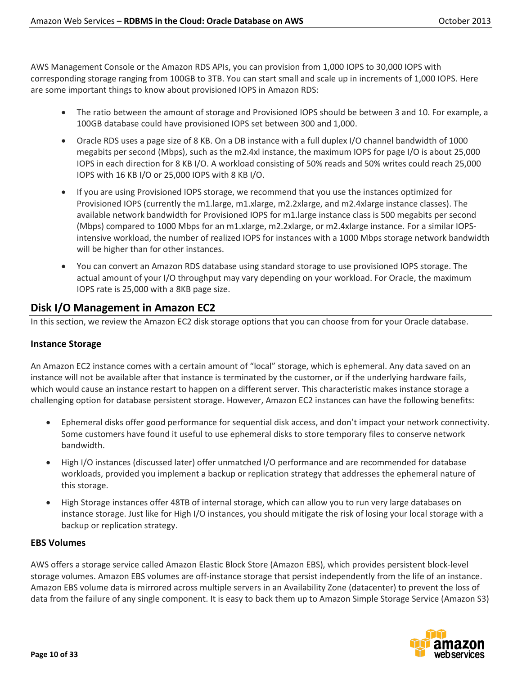AWS Management Console or the Amazon RDS APIs, you can provision from 1,000 IOPS to 30,000 IOPS with corresponding storage ranging from 100GB to 3TB. You can start small and scale up in increments of 1,000 IOPS. Here are some important things to know about provisioned IOPS in Amazon RDS:

- The ratio between the amount of storage and Provisioned IOPS should be between 3 and 10. For example, a 100GB database could have provisioned IOPS set between 300 and 1,000.
- Oracle RDS uses a page size of 8 KB. On a DB instance with a full duplex I/O channel bandwidth of 1000 megabits per second (Mbps), such as the m2.4xl instance, the maximum IOPS for page I/O is about 25,000 IOPS in each direction for 8 KB I/O. A workload consisting of 50% reads and 50% writes could reach 25,000 IOPS with 16 KB I/O or 25,000 IOPS with 8 KB I/O.
- If you are using Provisioned IOPS storage, we recommend that you use the instances optimized for Provisioned IOPS (currently the m1.large, m1.xlarge, m2.2xlarge, and m2.4xlarge instance classes). The available network bandwidth for Provisioned IOPS for m1.large instance class is 500 megabits per second (Mbps) compared to 1000 Mbps for an m1.xlarge, m2.2xlarge, or m2.4xlarge instance. For a similar IOPSintensive workload, the number of realized IOPS for instances with a 1000 Mbps storage network bandwidth will be higher than for other instances.
- You can convert an Amazon RDS database using standard storage to use provisioned IOPS storage. The actual amount of your I/O throughput may vary depending on your workload. For Oracle, the maximum IOPS rate is 25,000 with a 8KB page size.

## **Disk I/O Management in Amazon EC2**

In this section, we review the Amazon EC2 disk storage options that you can choose from for your Oracle database.

## **Instance Storage**

An Amazon EC2 instance comes with a certain amount of "local" storage, which is ephemeral. Any data saved on an instance will not be available after that instance is terminated by the customer, or if the underlying hardware fails, which would cause an instance restart to happen on a different server. This characteristic makes instance storage a challenging option for database persistent storage. However, Amazon EC2 instances can have the following benefits:

- Ephemeral disks offer good performance for sequential disk access, and don't impact your network connectivity. Some customers have found it useful to use ephemeral disks to store temporary files to conserve network bandwidth.
- High I/O instances (discussed later) offer unmatched I/O performance and are recommended for database workloads, provided you implement a backup or replication strategy that addresses the ephemeral nature of this storage.
- High Storage instances offer 48TB of internal storage, which can allow you to run very large databases on instance storage. Just like for High I/O instances, you should mitigate the risk of losing your local storage with a backup or replication strategy.

### **EBS Volumes**

AWS offers a storage service called Amazon Elastic Block Store (Amazon EBS), which provides persistent block-level storage volumes. Amazon EBS volumes are off-instance storage that persist independently from the life of an instance. Amazon EBS volume data is mirrored across multiple servers in an Availability Zone (datacenter) to prevent the loss of data from the failure of any single component. It is easy to back them up to Amazon Simple Storage Service (Amazon S3)

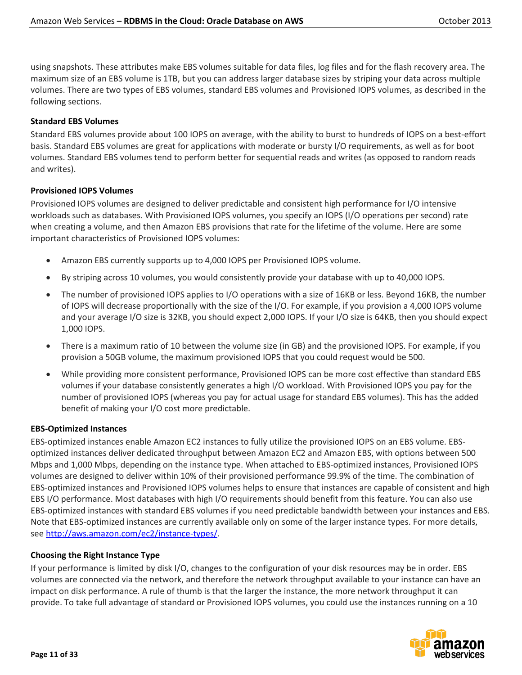using snapshots. These attributes make EBS volumes suitable for data files, log files and for the flash recovery area. The maximum size of an EBS volume is 1TB, but you can address larger database sizes by striping your data across multiple volumes. There are two types of EBS volumes, standard EBS volumes and Provisioned IOPS volumes, as described in the following sections.

## **Standard EBS Volumes**

Standard EBS volumes provide about 100 IOPS on average, with the ability to burst to hundreds of IOPS on a best-effort basis. Standard EBS volumes are great for applications with moderate or bursty I/O requirements, as well as for boot volumes. Standard EBS volumes tend to perform better for sequential reads and writes (as opposed to random reads and writes).

## **Provisioned IOPS Volumes**

Provisioned IOPS volumes are designed to deliver predictable and consistent high performance for I/O intensive workloads such as databases. With Provisioned IOPS volumes, you specify an IOPS (I/O operations per second) rate when creating a volume, and then Amazon EBS provisions that rate for the lifetime of the volume. Here are some important characteristics of Provisioned IOPS volumes:

- Amazon EBS currently supports up to 4,000 IOPS per Provisioned IOPS volume.
- By striping across 10 volumes, you would consistently provide your database with up to 40,000 IOPS.
- The number of provisioned IOPS applies to I/O operations with a size of 16KB or less. Beyond 16KB, the number of IOPS will decrease proportionally with the size of the I/O. For example, if you provision a 4,000 IOPS volume and your average I/O size is 32KB, you should expect 2,000 IOPS. If your I/O size is 64KB, then you should expect 1,000 IOPS.
- There is a maximum ratio of 10 between the volume size (in GB) and the provisioned IOPS. For example, if you provision a 50GB volume, the maximum provisioned IOPS that you could request would be 500.
- While providing more consistent performance, Provisioned IOPS can be more cost effective than standard EBS volumes if your database consistently generates a high I/O workload. With Provisioned IOPS you pay for the number of provisioned IOPS (whereas you pay for actual usage for standard EBS volumes). This has the added benefit of making your I/O cost more predictable.

### **EBS-Optimized Instances**

EBS-optimized instances enable Amazon EC2 instances to fully utilize the provisioned IOPS on an EBS volume. EBSoptimized instances deliver dedicated throughput between Amazon EC2 and Amazon EBS, with options between 500 Mbps and 1,000 Mbps, depending on the instance type. When attached to EBS-optimized instances, Provisioned IOPS volumes are designed to deliver within 10% of their provisioned performance 99.9% of the time. The combination of EBS-optimized instances and Provisioned IOPS volumes helps to ensure that instances are capable of consistent and high EBS I/O performance. Most databases with high I/O requirements should benefit from this feature. You can also use EBS-optimized instances with standard EBS volumes if you need predictable bandwidth between your instances and EBS. Note that EBS-optimized instances are currently available only on some of the larger instance types. For more details, see [http://aws.amazon.com/ec2/instance-types/.](http://aws.amazon.com/ec2/instance-types/)

### **Choosing the Right Instance Type**

If your performance is limited by disk I/O, changes to the configuration of your disk resources may be in order. EBS volumes are connected via the network, and therefore the network throughput available to your instance can have an impact on disk performance. A rule of thumb is that the larger the instance, the more network throughput it can provide. To take full advantage of standard or Provisioned IOPS volumes, you could use the instances running on a 10

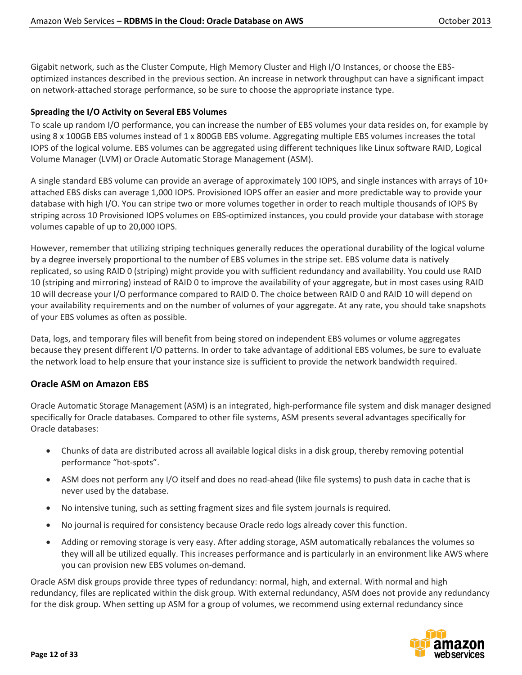Gigabit network, such as the Cluster Compute, High Memory Cluster and High I/O Instances, or choose the EBSoptimized instances described in the previous section. An increase in network throughput can have a significant impact on network-attached storage performance, so be sure to choose the appropriate instance type.

## **Spreading the I/O Activity on Several EBS Volumes**

To scale up random I/O performance, you can increase the number of EBS volumes your data resides on, for example by using 8 x 100GB EBS volumes instead of 1 x 800GB EBS volume. Aggregating multiple EBS volumes increases the total IOPS of the logical volume. EBS volumes can be aggregated using different techniques like Linux software RAID, Logical Volume Manager (LVM) or Oracle Automatic Storage Management (ASM).

A single standard EBS volume can provide an average of approximately 100 IOPS, and single instances with arrays of 10+ attached EBS disks can average 1,000 IOPS. Provisioned IOPS offer an easier and more predictable way to provide your database with high I/O. You can stripe two or more volumes together in order to reach multiple thousands of IOPS By striping across 10 Provisioned IOPS volumes on EBS-optimized instances, you could provide your database with storage volumes capable of up to 20,000 IOPS.

However, remember that utilizing striping techniques generally reduces the operational durability of the logical volume by a degree inversely proportional to the number of EBS volumes in the stripe set. EBS volume data is natively replicated, so using RAID 0 (striping) might provide you with sufficient redundancy and availability. You could use RAID 10 (striping and mirroring) instead of RAID 0 to improve the availability of your aggregate, but in most cases using RAID 10 will decrease your I/O performance compared to RAID 0. The choice between RAID 0 and RAID 10 will depend on your availability requirements and on the number of volumes of your aggregate. At any rate, you should take snapshots of your EBS volumes as often as possible.

Data, logs, and temporary files will benefit from being stored on independent EBS volumes or volume aggregates because they present different I/O patterns. In order to take advantage of additional EBS volumes, be sure to evaluate the network load to help ensure that your instance size is sufficient to provide the network bandwidth required.

## **Oracle ASM on Amazon EBS**

Oracle Automatic Storage Management (ASM) is an integrated, high-performance file system and disk manager designed specifically for Oracle databases. Compared to other file systems, ASM presents several advantages specifically for Oracle databases:

- Chunks of data are distributed across all available logical disks in a disk group, thereby removing potential performance "hot-spots".
- ASM does not perform any I/O itself and does no read-ahead (like file systems) to push data in cache that is never used by the database.
- No intensive tuning, such as setting fragment sizes and file system journals is required.
- No journal is required for consistency because Oracle redo logs already cover this function.
- Adding or removing storage is very easy. After adding storage, ASM automatically rebalances the volumes so they will all be utilized equally. This increases performance and is particularly in an environment like AWS where you can provision new EBS volumes on-demand.

Oracle ASM disk groups provide three types of redundancy: normal, high, and external. With normal and high redundancy, files are replicated within the disk group. With external redundancy, ASM does not provide any redundancy for the disk group. When setting up ASM for a group of volumes, we recommend using external redundancy since

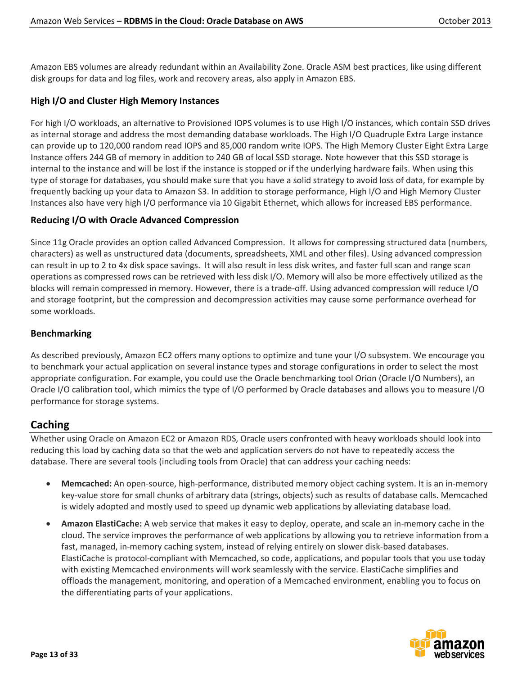Amazon EBS volumes are already redundant within an Availability Zone. Oracle ASM best practices, like using different disk groups for data and log files, work and recovery areas, also apply in Amazon EBS.

## **High I/O and Cluster High Memory Instances**

For high I/O workloads, an alternative to Provisioned IOPS volumes is to use High I/O instances, which contain SSD drives as internal storage and address the most demanding database workloads. The High I/O Quadruple Extra Large instance can provide up to 120,000 random read IOPS and 85,000 random write IOPS. The High Memory Cluster Eight Extra Large Instance offers 244 GB of memory in addition to 240 GB of local SSD storage. Note however that this SSD storage is internal to the instance and will be lost if the instance is stopped or if the underlying hardware fails. When using this type of storage for databases, you should make sure that you have a solid strategy to avoid loss of data, for example by frequently backing up your data to Amazon S3. In addition to storage performance, High I/O and High Memory Cluster Instances also have very high I/O performance via 10 Gigabit Ethernet, which allows for increased EBS performance.

## **Reducing I/O with Oracle Advanced Compression**

Since 11g Oracle provides an option called Advanced Compression. It allows for compressing structured data (numbers, characters) as well as unstructured data (documents, spreadsheets, XML and other files). Using advanced compression can result in up to 2 to 4x disk space savings. It will also result in less disk writes, and faster full scan and range scan operations as compressed rows can be retrieved with less disk I/O. Memory will also be more effectively utilized as the blocks will remain compressed in memory. However, there is a trade-off. Using advanced compression will reduce I/O and storage footprint, but the compression and decompression activities may cause some performance overhead for some workloads.

## **Benchmarking**

As described previously, Amazon EC2 offers many options to optimize and tune your I/O subsystem. We encourage you to benchmark your actual application on several instance types and storage configurations in order to select the most appropriate configuration. For example, you could use the Oracle benchmarking tool Orion (Oracle I/O Numbers), an Oracle I/O calibration tool, which mimics the type of I/O performed by Oracle databases and allows you to measure I/O performance for storage systems.

## **Caching**

Whether using Oracle on Amazon EC2 or Amazon RDS, Oracle users confronted with heavy workloads should look into reducing this load by caching data so that the web and application servers do not have to repeatedly access the database. There are several tools (including tools from Oracle) that can address your caching needs:

- **Memcached:** An open-source, high-performance, distributed memory object caching system. It is an in-memory key-value store for small chunks of arbitrary data (strings, objects) such as results of database calls. Memcached is widely adopted and mostly used to speed up dynamic web applications by alleviating database load.
- **Amazon ElastiCache:** A web service that makes it easy to deploy, operate, and scale an in-memory cache in the cloud. The service improves the performance of web applications by allowing you to retrieve information from a fast, managed, in-memory caching system, instead of relying entirely on slower disk-based databases. ElastiCache is protocol-compliant with Memcached, so code, applications, and popular tools that you use today with existing Memcached environments will work seamlessly with the service. ElastiCache simplifies and offloads the management, monitoring, and operation of a Memcached environment, enabling you to focus on the differentiating parts of your applications.

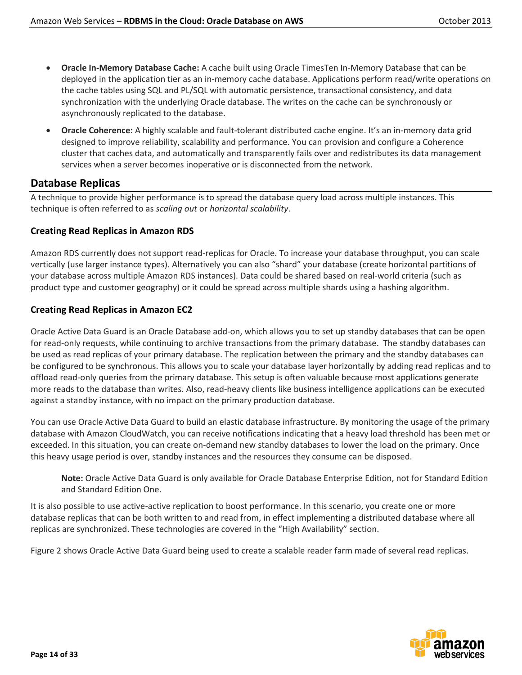- **Oracle In-Memory Database Cache:** A cache built using Oracle TimesTen In-Memory Database that can be deployed in the application tier as an in-memory cache database. Applications perform read/write operations on the cache tables using SQL and PL/SQL with automatic persistence, transactional consistency, and data synchronization with the underlying Oracle database. The writes on the cache can be synchronously or asynchronously replicated to the database.
- **Oracle Coherence:** A highly scalable and [fault-tolerant](http://en.wikipedia.org/wiki/Fault-tolerant_computer_system) distributed cache engine. It's an in-memory data grid designed to improve reliability, scalability and performance. You can provision and configure a Coherence cluster that caches data, and automatically and transparently fails over and redistributes its data management services when a server becomes inoperative or is disconnected from the network.

## **Database Replicas**

A technique to provide higher performance is to spread the database query load across multiple instances. This technique is often referred to as *scaling out* or *horizontal scalability*.

## **Creating Read Replicas in Amazon RDS**

Amazon RDS currently does not support read-replicas for Oracle. To increase your database throughput, you can scale vertically (use larger instance types). Alternatively you can also "shard" your database (create horizontal partitions of your database across multiple Amazon RDS instances). Data could be shared based on real-world criteria (such as product type and customer geography) or it could be spread across multiple shards using a hashing algorithm.

## **Creating Read Replicas in Amazon EC2**

Oracle Active Data Guard is an Oracle Database add-on, which allows you to set up standby databases that can be open for read-only requests, while continuing to archive transactions from the primary database. The standby databases can be used as read replicas of your primary database. The replication between the primary and the standby databases can be configured to be synchronous. This allows you to scale your database layer horizontally by adding read replicas and to offload read-only queries from the primary database. This setup is often valuable because most applications generate more reads to the database than writes. Also, read-heavy clients like business intelligence applications can be executed against a standby instance, with no impact on the primary production database.

You can use Oracle Active Data Guard to build an elastic database infrastructure. By monitoring the usage of the primary database with Amazon CloudWatch, you can receive notifications indicating that a heavy load threshold has been met or exceeded. In this situation, you can create on-demand new standby databases to lower the load on the primary. Once this heavy usage period is over, standby instances and the resources they consume can be disposed.

**Note:** Oracle Active Data Guard is only available for Oracle Database Enterprise Edition, not for Standard Edition and Standard Edition One.

It is also possible to use active-active replication to boost performance. In this scenario, you create one or more database replicas that can be both written to and read from, in effect implementing a distributed database where all replicas are synchronized. These technologies are covered in the "High Availability" section.

Figure 2 shows Oracle Active Data Guard being used to create a scalable reader farm made of several read replicas.

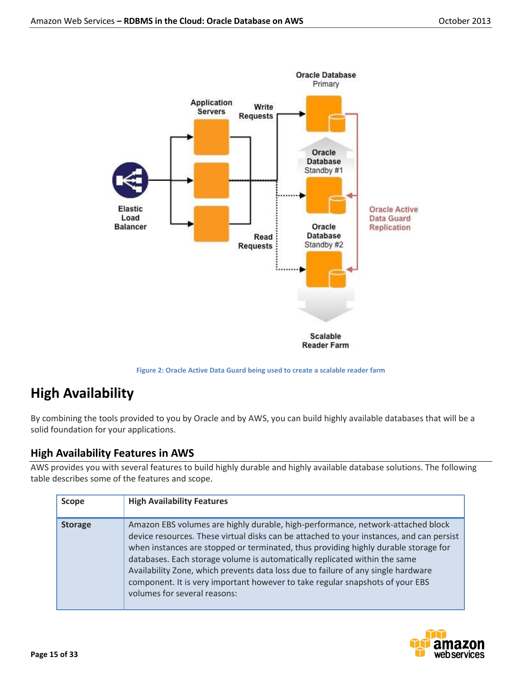

**Figure 2: Oracle Active Data Guard being used to create a scalable reader farm**

# **High Availability**

By combining the tools provided to you by Oracle and by AWS, you can build highly available databases that will be a solid foundation for your applications.

# **High Availability Features in AWS**

AWS provides you with several features to build highly durable and highly available database solutions. The following table describes some of the features and scope.

| <b>Scope</b>   | <b>High Availability Features</b>                                                                                                                                                                                                                                                                                                                                                                                                                                                                                                                      |
|----------------|--------------------------------------------------------------------------------------------------------------------------------------------------------------------------------------------------------------------------------------------------------------------------------------------------------------------------------------------------------------------------------------------------------------------------------------------------------------------------------------------------------------------------------------------------------|
| <b>Storage</b> | Amazon EBS volumes are highly durable, high-performance, network-attached block<br>device resources. These virtual disks can be attached to your instances, and can persist<br>when instances are stopped or terminated, thus providing highly durable storage for<br>databases. Each storage volume is automatically replicated within the same<br>Availability Zone, which prevents data loss due to failure of any single hardware<br>component. It is very important however to take regular snapshots of your EBS<br>volumes for several reasons: |

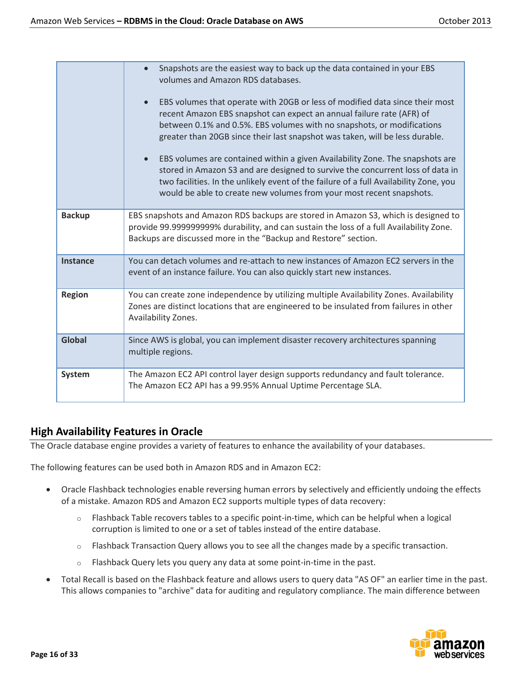|                 | Snapshots are the easiest way to back up the data contained in your EBS<br>volumes and Amazon RDS databases.<br>EBS volumes that operate with 20GB or less of modified data since their most<br>$\bullet$<br>recent Amazon EBS snapshot can expect an annual failure rate (AFR) of<br>between 0.1% and 0.5%. EBS volumes with no snapshots, or modifications<br>greater than 20GB since their last snapshot was taken, will be less durable.<br>EBS volumes are contained within a given Availability Zone. The snapshots are<br>stored in Amazon S3 and are designed to survive the concurrent loss of data in<br>two facilities. In the unlikely event of the failure of a full Availability Zone, you<br>would be able to create new volumes from your most recent snapshots. |  |
|-----------------|----------------------------------------------------------------------------------------------------------------------------------------------------------------------------------------------------------------------------------------------------------------------------------------------------------------------------------------------------------------------------------------------------------------------------------------------------------------------------------------------------------------------------------------------------------------------------------------------------------------------------------------------------------------------------------------------------------------------------------------------------------------------------------|--|
| <b>Backup</b>   | EBS snapshots and Amazon RDS backups are stored in Amazon S3, which is designed to<br>provide 99.999999999% durability, and can sustain the loss of a full Availability Zone.<br>Backups are discussed more in the "Backup and Restore" section.                                                                                                                                                                                                                                                                                                                                                                                                                                                                                                                                 |  |
| <b>Instance</b> | You can detach volumes and re-attach to new instances of Amazon EC2 servers in the<br>event of an instance failure. You can also quickly start new instances.                                                                                                                                                                                                                                                                                                                                                                                                                                                                                                                                                                                                                    |  |
| <b>Region</b>   | You can create zone independence by utilizing multiple Availability Zones. Availability<br>Zones are distinct locations that are engineered to be insulated from failures in other<br>Availability Zones.                                                                                                                                                                                                                                                                                                                                                                                                                                                                                                                                                                        |  |
| Global          | Since AWS is global, you can implement disaster recovery architectures spanning<br>multiple regions.                                                                                                                                                                                                                                                                                                                                                                                                                                                                                                                                                                                                                                                                             |  |
| <b>System</b>   | The Amazon EC2 API control layer design supports redundancy and fault tolerance.<br>The Amazon EC2 API has a 99.95% Annual Uptime Percentage SLA.                                                                                                                                                                                                                                                                                                                                                                                                                                                                                                                                                                                                                                |  |

## **High Availability Features in Oracle**

The Oracle database engine provides a variety of features to enhance the availability of your databases.

The following features can be used both in Amazon RDS and in Amazon EC2:

- Oracle Flashback technologies enable reversing human errors by selectively and efficiently undoing the effects of a mistake. Amazon RDS and Amazon EC2 supports multiple types of data recovery:
	- $\circ$  Flashback Table recovers tables to a specific point-in-time, which can be helpful when a logical corruption is limited to one or a set of tables instead of the entire database.
	- $\circ$  Flashback Transaction Query allows you to see all the changes made by a specific transaction.
	- o Flashback Query lets you query any data at some point-in-time in the past.
- Total Recall is based on the Flashback feature and allows users to query data "AS OF" an earlier time in the past. This allows companies to "archive" data for auditing and regulatory compliance. The main difference between

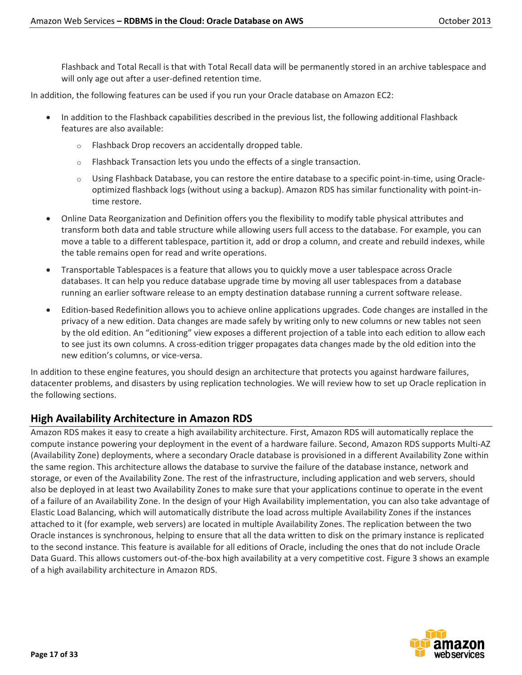Flashback and Total Recall is that with Total Recall data will be permanently stored in an archive tablespace and will only age out after a user-defined retention time.

In addition, the following features can be used if you run your Oracle database on Amazon EC2:

- In addition to the Flashback capabilities described in the previous list, the following additional Flashback features are also available:
	- o Flashback Drop recovers an accidentally dropped table.
	- $\circ$  Flashback Transaction lets you undo the effects of a single transaction.
	- o Using Flashback Database, you can restore the entire database to a specific point-in-time, using Oracleoptimized flashback logs (without using a backup). Amazon RDS has similar functionality with point-intime restore.
- Online Data Reorganization and Definition offers you the flexibility to modify table physical attributes and transform both data and table structure while allowing users full access to the database. For example, you can move a table to a different tablespace, partition it, add or drop a column, and create and rebuild indexes, while the table remains open for read and write operations.
- Transportable Tablespaces is a feature that allows you to quickly move a user tablespace across Oracle databases. It can help you reduce database upgrade time by moving all user tablespaces from a database running an earlier software release to an empty destination database running a current software release.
- Edition-based Redefinition allows you to achieve online applications upgrades. Code changes are installed in the privacy of a new edition. Data changes are made safely by writing only to new columns or new tables not seen by the old edition. An "editioning" view exposes a different projection of a table into each edition to allow each to see just its own columns. A cross-edition trigger propagates data changes made by the old edition into the new edition's columns, or vice-versa.

In addition to these engine features, you should design an architecture that protects you against hardware failures, datacenter problems, and disasters by using replication technologies. We will review how to set up Oracle replication in the following sections.

## **High Availability Architecture in Amazon RDS**

Amazon RDS makes it easy to create a high availability architecture. First, Amazon RDS will automatically replace the compute instance powering your deployment in the event of a hardware failure. Second, Amazon RDS supports Multi-AZ (Availability Zone) deployments, where a secondary Oracle database is provisioned in a different Availability Zone within the same region. This architecture allows the database to survive the failure of the database instance, network and storage, or even of the Availability Zone. The rest of the infrastructure, including application and web servers, should also be deployed in at least two Availability Zones to make sure that your applications continue to operate in the event of a failure of an Availability Zone. In the design of your High Availability implementation, you can also take advantage of Elastic Load Balancing, which will automatically distribute the load across multiple Availability Zones if the instances attached to it (for example, web servers) are located in multiple Availability Zones. The replication between the two Oracle instances is synchronous, helping to ensure that all the data written to disk on the primary instance is replicated to the second instance. This feature is available for all editions of Oracle, including the ones that do not include Oracle Data Guard. This allows customers out-of-the-box high availability at a very competitive cost. Figure 3 shows an example of a high availability architecture in Amazon RDS.

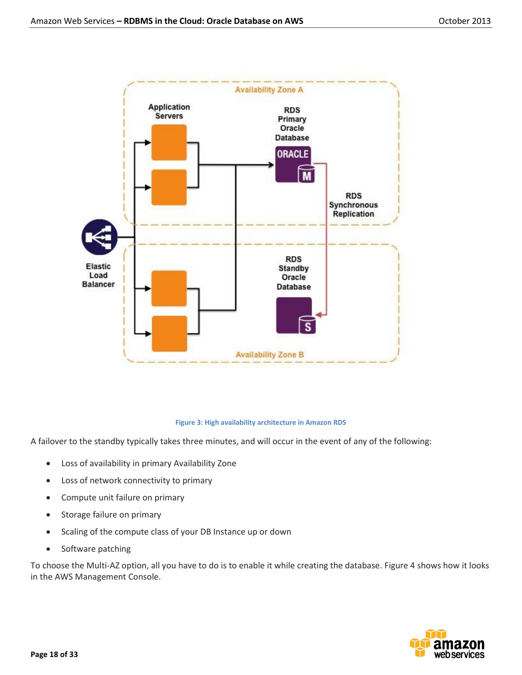

#### **Figure 3: High availability architecture in Amazon RDS**

A failover to the standby typically takes three minutes, and will occur in the event of any of the following:

- Loss of availability in primary Availability Zone
- Loss of network connectivity to primary
- Compute unit failure on primary
- Storage failure on primary
- Scaling of the compute class of your DB Instance up or down
- Software patching

To choose the Multi-AZ option, all you have to do is to enable it while creating the database. Figure 4 shows how it looks in the AWS Management Console.

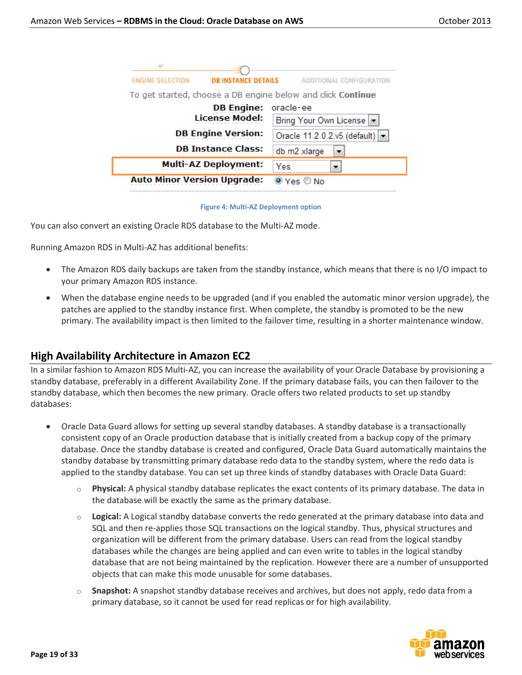| <b>ENGINE SELECTION</b><br><b>DB INSTANCE DETAILS</b>       | ADDITIONAL CONFIGURA         |  |
|-------------------------------------------------------------|------------------------------|--|
| To get started, choose a DB engine below and click Continue |                              |  |
| <b>DB Engine:</b>                                           | oracle-ee                    |  |
| <b>License Model:</b>                                       | Bring Your Own License       |  |
| <b>DB Engine Version:</b>                                   | Oracle 11.2.0.2.v5 (default) |  |
| <b>DB Instance Class:</b>                                   | db.m2.xlarge                 |  |
| <b>Multi-AZ Deployment:</b>                                 | Yes                          |  |
| <b>Auto Minor Version Upgrade:</b>                          | $O(Y_{PS} \cap N_O)$         |  |

#### **Figure 4: Multi-AZ Deployment option**

You can also convert an existing Oracle RDS database to the Multi-AZ mode.

Running Amazon RDS in Multi-AZ has additional benefits:

- The Amazon RDS daily backups are taken from the standby instance, which means that there is no I/O impact to your primary Amazon RDS instance.
- When the database engine needs to be upgraded (and if you enabled the automatic minor version upgrade), the patches are applied to the standby instance first. When complete, the standby is promoted to be the new primary. The availability impact is then limited to the failover time, resulting in a shorter maintenance window.

## **High Availability Architecture in Amazon EC2**

In a similar fashion to Amazon RDS Multi-AZ, you can increase the availability of your Oracle Database by provisioning a standby database, preferably in a different Availability Zone. If the primary database fails, you can then failover to the standby database, which then becomes the new primary. Oracle offers two related products to set up standby databases:

- Oracle Data Guard allows for setting up several standby databases. A standby database is a transactionally consistent copy of an Oracle production database that is initially created from a backup copy of the primary database. Once the standby database is created and configured, Oracle Data Guard automatically maintains the standby database by transmitting primary database redo data to the standby system, where the redo data is applied to the standby database. You can set up three kinds of standby databases with Oracle Data Guard:
	- o **Physical:** A physical standby database replicates the exact contents of its primary database. The data in the database will be exactly the same as the primary database.
	- o **Logical:** A Logical standby database converts the redo generated at the primary database into data and SQL and then re-applies those SQL transactions on the logical standby. Thus, physical structures and organization will be different from the primary database. Users can read from the logical standby databases while the changes are being applied and can even write to tables in the logical standby database that are not being maintained by the replication. However there are a number of unsupported objects that can make this mode unusable for some databases.
	- o **Snapshot:** A snapshot standby database receives and archives, but does not apply, redo data from a primary database, so it cannot be used for read replicas or for high availability.

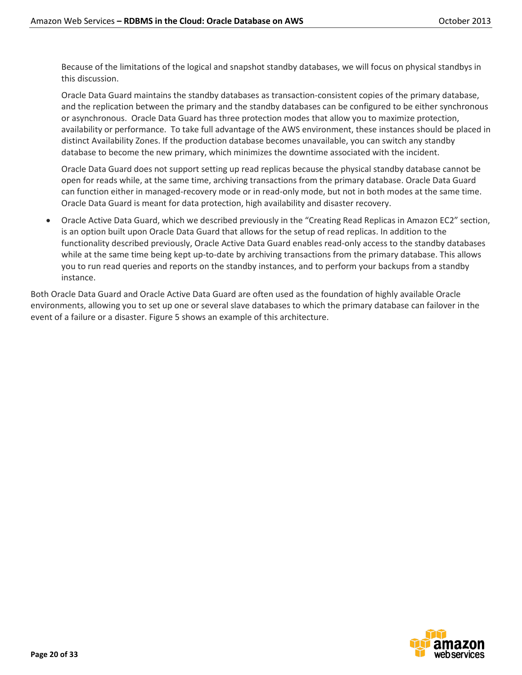Because of the limitations of the logical and snapshot standby databases, we will focus on physical standbys in this discussion.

Oracle Data Guard maintains the standby databases as transaction-consistent copies of the primary database, and the replication between the primary and the standby databases can be configured to be either synchronous or asynchronous. Oracle Data Guard has three protection modes that allow you to maximize protection, availability or performance. To take full advantage of the AWS environment, these instances should be placed in distinct Availability Zones. If the production database becomes unavailable, you can switch any standby database to become the new primary, which minimizes the downtime associated with the incident.

Oracle Data Guard does not support setting up read replicas because the physical standby database cannot be open for reads while, at the same time, archiving transactions from the primary database. Oracle Data Guard can function either in managed-recovery mode or in read-only mode, but not in both modes at the same time. Oracle Data Guard is meant for data protection, high availability and disaster recovery.

 Oracle Active Data Guard, which we described previously in the "Creating Read Replicas in Amazon EC2" section, is an option built upon Oracle Data Guard that allows for the setup of read replicas. In addition to the functionality described previously, Oracle Active Data Guard enables read-only access to the standby databases while at the same time being kept up-to-date by archiving transactions from the primary database. This allows you to run read queries and reports on the standby instances, and to perform your backups from a standby instance.

Both Oracle Data Guard and Oracle Active Data Guard are often used as the foundation of highly available Oracle environments, allowing you to set up one or several slave databases to which the primary database can failover in the event of a failure or a disaster. Figure 5 shows an example of this architecture.

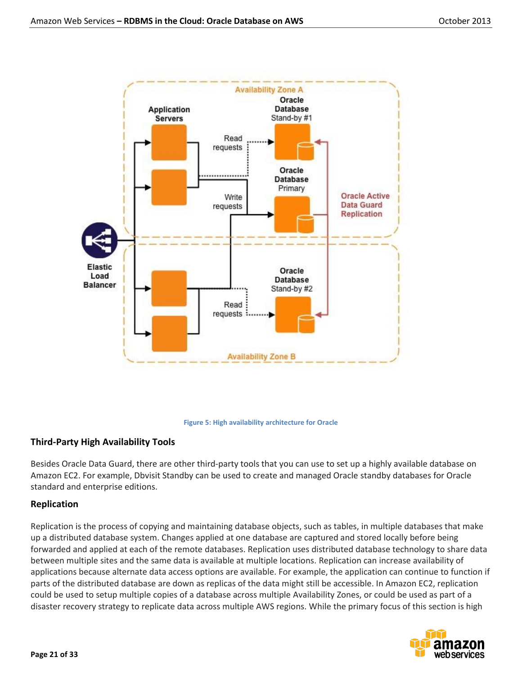



### **Third-Party High Availability Tools**

Besides Oracle Data Guard, there are other third-party tools that you can use to set up a highly available database on Amazon EC2. For example, Dbvisit Standby can be used to create and managed Oracle standby databases for Oracle standard and enterprise editions.

## **Replication**

Replication is the process of copying and maintaining database objects, such as tables, in multiple databases that make up a distributed database system. Changes applied at one database are captured and stored locally before being forwarded and applied at each of the remote databases. Replication uses distributed database technology to share data between multiple sites and the same data is available at multiple locations. Replication can increase availability of applications because alternate data access options are available. For example, the application can continue to function if parts of the distributed database are down as replicas of the data might still be accessible. In Amazon EC2, replication could be used to setup multiple copies of a database across multiple Availability Zones, or could be used as part of a disaster recovery strategy to replicate data across multiple AWS regions. While the primary focus of this section is high

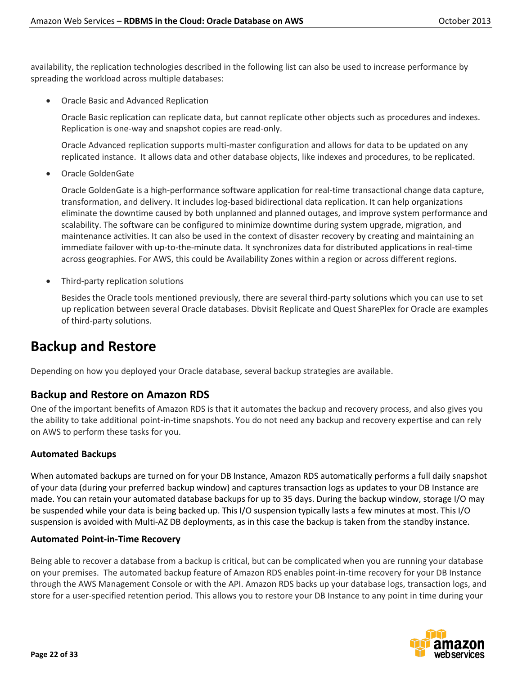availability, the replication technologies described in the following list can also be used to increase performance by spreading the workload across multiple databases:

Oracle Basic and Advanced Replication

Oracle Basic replication can replicate data, but cannot replicate other objects such as procedures and indexes. Replication is one-way and snapshot copies are read-only.

Oracle Advanced replication supports multi-master configuration and allows for data to be updated on any replicated instance. It allows data and other database objects, like indexes and procedures, to be replicated.

Oracle GoldenGate

Oracle GoldenGate is a high-performance software application for real-time transactional change data capture, transformation, and delivery. It includes log-based bidirectional data replication. It can help organizations eliminate the downtime caused by both unplanned and planned outages, and improve system performance and scalability. The software can be configured to minimize downtime during system upgrade, migration, and maintenance activities. It can also be used in the context of disaster recovery by creating and maintaining an immediate failover with up-to-the-minute data. It synchronizes data for distributed applications in real-time across geographies. For AWS, this could be Availability Zones within a region or across different regions.

Third-party replication solutions

Besides the Oracle tools mentioned previously, there are several third-party solutions which you can use to set up replication between several Oracle databases. Dbvisit Replicate and Quest SharePlex for Oracle are examples of third-party solutions.

# **Backup and Restore**

Depending on how you deployed your Oracle database, several backup strategies are available.

## **Backup and Restore on Amazon RDS**

One of the important benefits of Amazon RDS is that it automates the backup and recovery process, and also gives you the ability to take additional point-in-time snapshots. You do not need any backup and recovery expertise and can rely on AWS to perform these tasks for you.

## **Automated Backups**

When automated backups are turned on for your DB Instance, Amazon RDS automatically performs a full daily snapshot of your data (during your preferred backup window) and captures transaction logs as updates to your DB Instance are made. You can retain your automated database backups for up to 35 days. During the backup window, storage I/O may be suspended while your data is being backed up. This I/O suspension typically lasts a few minutes at most. This I/O suspension is avoided with Multi-AZ DB deployments, as in this case the backup is taken from the standby instance.

### **Automated Point-in-Time Recovery**

Being able to recover a database from a backup is critical, but can be complicated when you are running your database on your premises. The automated backup feature of Amazon RDS enables point-in-time recovery for your DB Instance through the AWS Management Console or with the API. Amazon RDS backs up your database logs, transaction logs, and store for a user-specified retention period. This allows you to restore your DB Instance to any point in time during your

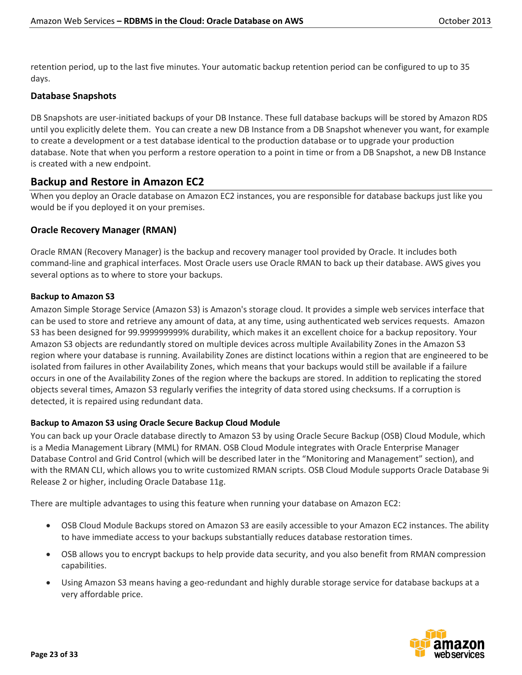retention period, up to the last five minutes. Your automatic backup retention period can be configured to up to 35 days.

### **Database Snapshots**

DB Snapshots are user-initiated backups of your DB Instance. These full database backups will be stored by Amazon RDS until you explicitly delete them. You can create a new DB Instance from a DB Snapshot whenever you want, for example to create a development or a test database identical to the production database or to upgrade your production database. Note that when you perform a restore operation to a point in time or from a DB Snapshot, a new DB Instance is created with a new endpoint.

## **Backup and Restore in Amazon EC2**

When you deploy an Oracle database on Amazon EC2 instances, you are responsible for database backups just like you would be if you deployed it on your premises.

## **Oracle Recovery Manager (RMAN)**

Oracle RMAN (Recovery Manager) is the backup and recovery manager tool provided by Oracle. It includes both command-line and graphical interfaces. Most Oracle users use Oracle RMAN to back up their database. AWS gives you several options as to where to store your backups.

### **Backup to Amazon S3**

Amazon Simple Storage Service (Amazon S3) is Amazon's storage cloud. It provides a simple web services interface that can be used to store and retrieve any amount of data, at any time, using authenticated web services requests. Amazon S3 has been designed for 99.999999999% durability, which makes it an excellent choice for a backup repository. Your Amazon S3 objects are redundantly stored on multiple devices across multiple Availability Zones in the Amazon S3 region where your database is running. Availability Zones are distinct locations within a region that are engineered to be isolated from failures in other Availability Zones, which means that your backups would still be available if a failure occurs in one of the Availability Zones of the region where the backups are stored. In addition to replicating the stored objects several times, Amazon S3 regularly verifies the integrity of data stored using checksums. If a corruption is detected, it is repaired using redundant data.

### **Backup to Amazon S3 using Oracle Secure Backup Cloud Module**

You can back up your Oracle database directly to Amazon S3 by using Oracle Secure Backup (OSB) Cloud Module, which is a Media Management Library (MML) for RMAN. OSB Cloud Module integrates with Oracle Enterprise Manager Database Control and Grid Control (which will be described later in the "Monitoring and Management" section), and with the RMAN CLI, which allows you to write customized RMAN scripts. OSB Cloud Module supports Oracle Database 9i Release 2 or higher, including Oracle Database 11g.

There are multiple advantages to using this feature when running your database on Amazon EC2:

- OSB Cloud Module Backups stored on Amazon S3 are easily accessible to your Amazon EC2 instances. The ability to have immediate access to your backups substantially reduces database restoration times.
- OSB allows you to encrypt backups to help provide data security, and you also benefit from RMAN compression capabilities.
- Using Amazon S3 means having a geo-redundant and highly durable storage service for database backups at a very affordable price.

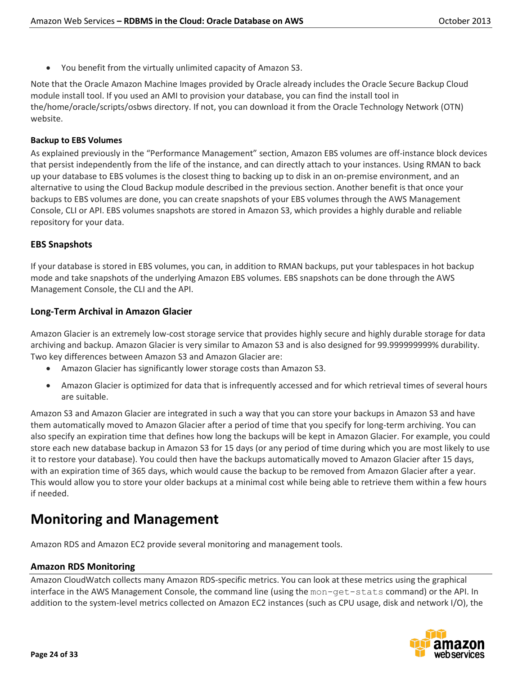You benefit from the virtually unlimited capacity of Amazon S3.

Note that the Oracle Amazon Machine Images provided by Oracle already includes the Oracle Secure Backup Cloud module install tool. If you used an AMI to provision your database, you can find the install tool in the/home/oracle/scripts/osbws directory. If not, you can download it from the Oracle Technology Network (OTN) website.

### **Backup to EBS Volumes**

As explained previously in the "Performance Management" section, Amazon EBS volumes are off-instance block devices that persist independently from the life of the instance, and can directly attach to your instances. Using RMAN to back up your database to EBS volumes is the closest thing to backing up to disk in an on-premise environment, and an alternative to using the Cloud Backup module described in the previous section. Another benefit is that once your backups to EBS volumes are done, you can create snapshots of your EBS volumes through the AWS Management Console, CLI or API. EBS volumes snapshots are stored in Amazon S3, which provides a highly durable and reliable repository for your data.

### **EBS Snapshots**

If your database is stored in EBS volumes, you can, in addition to RMAN backups, put your tablespaces in hot backup mode and take snapshots of the underlying Amazon EBS volumes. EBS snapshots can be done through the AWS Management Console, the CLI and the API.

### **Long-Term Archival in Amazon Glacier**

Amazon Glacier is an extremely low-cost storage service that provides highly secure and highly durable storage for data archiving and backup. Amazon Glacier is very similar to Amazon S3 and is also designed for 99.999999999% durability. Two key differences between Amazon S3 and Amazon Glacier are:

- Amazon Glacier has significantly lower storage costs than Amazon S3.
- Amazon Glacier is optimized for data that is infrequently accessed and for which retrieval times of several hours are suitable.

Amazon S3 and Amazon Glacier are integrated in such a way that you can store your backups in Amazon S3 and have them automatically moved to Amazon Glacier after a period of time that you specify for long-term archiving. You can also specify an expiration time that defines how long the backups will be kept in Amazon Glacier. For example, you could store each new database backup in Amazon S3 for 15 days (or any period of time during which you are most likely to use it to restore your database). You could then have the backups automatically moved to Amazon Glacier after 15 days, with an expiration time of 365 days, which would cause the backup to be removed from Amazon Glacier after a year. This would allow you to store your older backups at a minimal cost while being able to retrieve them within a few hours if needed.

# **Monitoring and Management**

Amazon RDS and Amazon EC2 provide several monitoring and management tools.

### **Amazon RDS Monitoring**

Amazon CloudWatch collects many Amazon RDS-specific metrics. You can look at these metrics using the graphical interface in the AWS Management Console, the command line (using the mon-get-stats command) or the API. In addition to the system-level metrics collected on Amazon EC2 instances (such as CPU usage, disk and network I/O), the

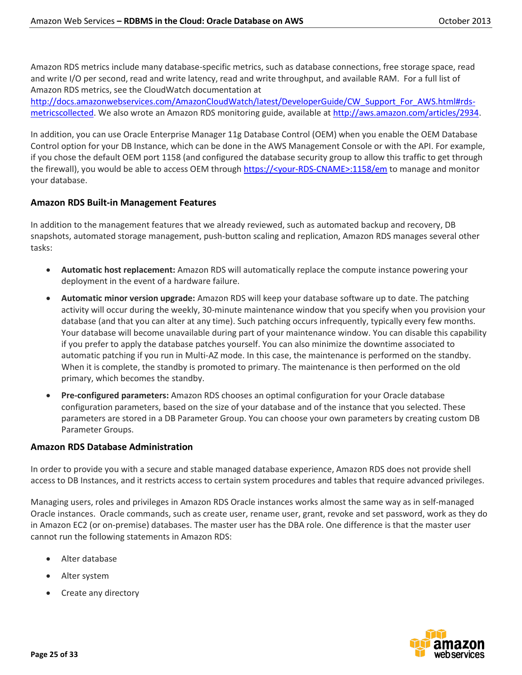Amazon RDS metrics include many database-specific metrics, such as database connections, free storage space, read and write I/O per second, read and write latency, read and write throughput, and available RAM. For a full list of Amazon RDS metrics, see the CloudWatch documentation at

[http://docs.amazonwebservices.com/AmazonCloudWatch/latest/DeveloperGuide/CW\\_Support\\_For\\_AWS.html#rds](http://docs.amazonwebservices.com/AmazonCloudWatch/latest/DeveloperGuide/CW_Support_For_AWS.html#rds-metricscollected)[metricscollected.](http://docs.amazonwebservices.com/AmazonCloudWatch/latest/DeveloperGuide/CW_Support_For_AWS.html#rds-metricscollected) We also wrote an Amazon RDS monitoring guide, available a[t http://aws.amazon.com/articles/2934.](http://aws.amazon.com/articles/2934)

In addition, you can use Oracle Enterprise Manager 11g Database Control (OEM) when you enable the OEM Database Control option for your DB Instance, which can be done in the AWS Management Console or with the API. For example, if you chose the default OEM port 1158 (and configured the database security group to allow this traffic to get through the firewall), you would be able to access OEM through https://<your-RDS-CNAME>:1158/em to manage and monitor your database.

## **Amazon RDS Built-in Management Features**

In addition to the management features that we already reviewed, such as automated backup and recovery, DB snapshots, automated storage management, push-button scaling and replication, Amazon RDS manages several other tasks:

- **Automatic host replacement:** Amazon RDS will automatically replace the compute instance powering your deployment in the event of a hardware failure.
- **Automatic minor version upgrade:** Amazon RDS will keep your database software up to date. The patching activity will occur during the weekly, 30-minute maintenance window that you specify when you provision your database (and that you can alter at any time). Such patching occurs infrequently, typically every few months. Your database will become unavailable during part of your maintenance window. You can disable this capability if you prefer to apply the database patches yourself. You can also minimize the downtime associated to automatic patching if you run in Multi-AZ mode. In this case, the maintenance is performed on the standby. When it is complete, the standby is promoted to primary. The maintenance is then performed on the old primary, which becomes the standby.
- **Pre-configured parameters:** Amazon RDS chooses an optimal configuration for your Oracle database configuration parameters, based on the size of your database and of the instance that you selected. These parameters are stored in a DB Parameter Group. You can choose your own parameters by creating custom DB Parameter Groups.

## **Amazon RDS Database Administration**

In order to provide you with a secure and stable managed database experience, Amazon RDS does not provide shell access to DB Instances, and it restricts access to certain system procedures and tables that require advanced privileges.

Managing users, roles and privileges in Amazon RDS Oracle instances works almost the same way as in self-managed Oracle instances. Oracle commands, such as create user, rename user, grant, revoke and set password, work as they do in Amazon EC2 (or on-premise) databases. The master user has the DBA role. One difference is that the master user cannot run the following statements in Amazon RDS:

- Alter database
- Alter system
- Create any directory

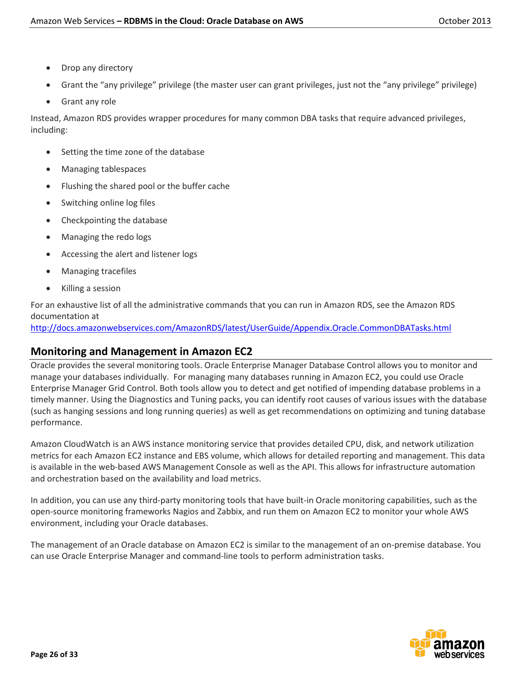- Drop any directory
- Grant the "any privilege" privilege (the master user can grant privileges, just not the "any privilege" privilege)
- Grant any role

Instead, Amazon RDS provides wrapper procedures for many common DBA tasks that require advanced privileges, including:

- Setting the time zone of the database
- Managing tablespaces
- Flushing the shared pool or the buffer cache
- Switching online log files
- Checkpointing the database
- Managing the redo logs
- Accessing the alert and listener logs
- Managing tracefiles
- Killing a session

For an exhaustive list of all the administrative commands that you can run in Amazon RDS, see the Amazon RDS documentation at

<http://docs.amazonwebservices.com/AmazonRDS/latest/UserGuide/Appendix.Oracle.CommonDBATasks.html>

## **Monitoring and Management in Amazon EC2**

Oracle provides the several monitoring tools. Oracle Enterprise Manager Database Control allows you to monitor and manage your databases individually. For managing many databases running in Amazon EC2, you could use Oracle Enterprise Manager Grid Control. Both tools allow you to detect and get notified of impending database problems in a timely manner. Using the Diagnostics and Tuning packs, you can identify root causes of various issues with the database (such as hanging sessions and long running queries) as well as get recommendations on optimizing and tuning database performance.

Amazon CloudWatch is an AWS instance monitoring service that provides detailed CPU, disk, and network utilization metrics for each Amazon EC2 instance and EBS volume, which allows for detailed reporting and management. This data is available in the web-based AWS Management Console as well as the API. This allows for infrastructure automation and orchestration based on the availability and load metrics.

In addition, you can use any third-party monitoring tools that have built-in Oracle monitoring capabilities, such as the open-source monitoring frameworks Nagios and Zabbix, and run them on Amazon EC2 to monitor your whole AWS environment, including your Oracle databases.

The management of an Oracle database on Amazon EC2 is similar to the management of an on-premise database. You can use Oracle Enterprise Manager and command-line tools to perform administration tasks.

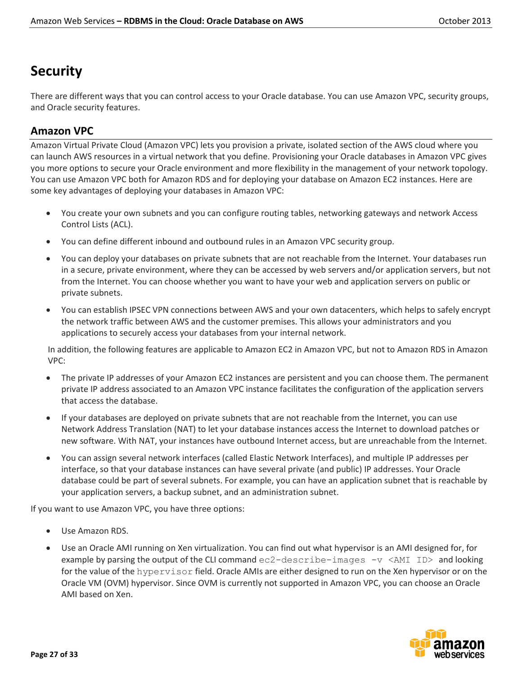# **Security**

There are different ways that you can control access to your Oracle database. You can use Amazon VPC, security groups, and Oracle security features.

## **Amazon VPC**

Amazon Virtual Private Cloud (Amazon VPC) lets you provision a private, isolated section of the AWS cloud where you can launch AWS resources in a virtual network that you define. Provisioning your Oracle databases in Amazon VPC gives you more options to secure your Oracle environment and more flexibility in the management of your network topology. You can use Amazon VPC both for Amazon RDS and for deploying your database on Amazon EC2 instances. Here are some key advantages of deploying your databases in Amazon VPC:

- You create your own subnets and you can configure routing tables, networking gateways and network Access Control Lists (ACL).
- You can define different inbound and outbound rules in an Amazon VPC security group.
- You can deploy your databases on private subnets that are not reachable from the Internet. Your databases run in a secure, private environment, where they can be accessed by web servers and/or application servers, but not from the Internet. You can choose whether you want to have your web and application servers on public or private subnets.
- You can establish IPSEC VPN connections between AWS and your own datacenters, which helps to safely encrypt the network traffic between AWS and the customer premises. This allows your administrators and you applications to securely access your databases from your internal network.

In addition, the following features are applicable to Amazon EC2 in Amazon VPC, but not to Amazon RDS in Amazon VPC:

- The private IP addresses of your Amazon EC2 instances are persistent and you can choose them. The permanent private IP address associated to an Amazon VPC instance facilitates the configuration of the application servers that access the database.
- If your databases are deployed on private subnets that are not reachable from the Internet, you can use Network Address Translation (NAT) to let your database instances access the Internet to download patches or new software. With NAT, your instances have outbound Internet access, but are unreachable from the Internet.
- You can assign several network interfaces (called Elastic Network Interfaces), and multiple IP addresses per interface, so that your database instances can have several private (and public) IP addresses. Your Oracle database could be part of several subnets. For example, you can have an application subnet that is reachable by your application servers, a backup subnet, and an administration subnet.

If you want to use Amazon VPC, you have three options:

- Use Amazon RDS.
- Use an Oracle AMI running on Xen virtualization. You can find out what hypervisor is an AMI designed for, for example by parsing the output of the CLI command  $ec2-descript = -image -v <$ AMI ID> and looking for the value of the hypervisor field. Oracle AMIs are either designed to run on the Xen hypervisor or on the Oracle VM (OVM) hypervisor. Since OVM is currently not supported in Amazon VPC, you can choose an Oracle AMI based on Xen.

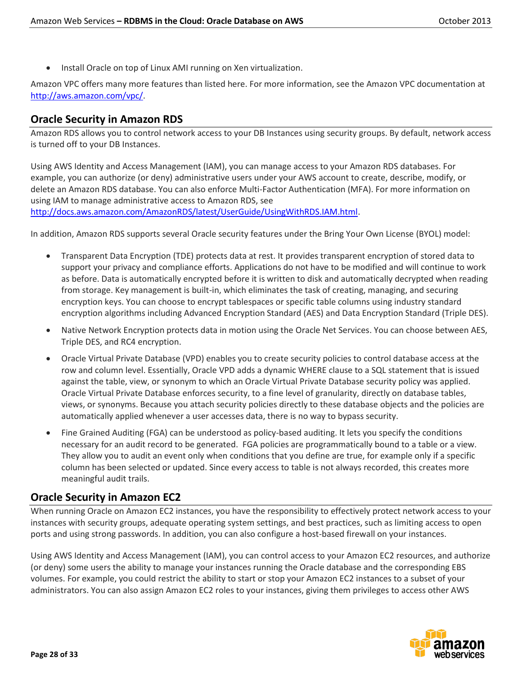• Install Oracle on top of Linux AMI running on Xen virtualization.

Amazon VPC offers many more features than listed here. For more information, see the Amazon VPC documentation at [http://aws.amazon.com/vpc/.](http://aws.amazon.com/vpc/)

# **Oracle Security in Amazon RDS**

Amazon RDS allows you to control network access to your DB Instances using security groups. By default, network access is turned off to your DB Instances.

Using AWS Identity and Access Management (IAM), you can manage access to your Amazon RDS databases. For example, you can authorize (or deny) administrative users under your AWS account to create, describe, modify, or delete an Amazon RDS database. You can also enforce Multi-Factor Authentication (MFA). For more information on using IAM to manage administrative access to Amazon RDS, see [http://docs.aws.amazon.com/AmazonRDS/latest/UserGuide/UsingWithRDS.IAM.html.](http://docs.aws.amazon.com/AmazonRDS/latest/UserGuide/UsingWithRDS.IAM.html)

In addition, Amazon RDS supports several Oracle security features under the Bring Your Own License (BYOL) model:

- Transparent Data Encryption (TDE) protects data at rest. It provides transparent encryption of stored data to support your privacy and compliance efforts. Applications do not have to be modified and will continue to work as before. Data is automatically encrypted before it is written to disk and automatically decrypted when reading from storage. Key management is built-in, which eliminates the task of creating, managing, and securing encryption keys. You can choose to encrypt tablespaces or specific table columns using industry standard encryption algorithms including [Advanced Encryption Standard](http://en.wikipedia.org/wiki/Advanced_Encryption_Standard) (AES) and [Data Encryption Standard](http://en.wikipedia.org/wiki/Data_Encryption_Standard) (Triple DES).
- Native Network Encryption protects data in motion using the [Oracle Net Services.](http://www.oracle.com/technetwork/database/enterprise-edition/index-098579.html) You can choose between AES, Triple DES, and [RC4](http://en.wikipedia.org/wiki/RC4) encryption.
- Oracle Virtual Private Database (VPD) enables you to create security policies to control database access at the row and column level. Essentially, Oracle VPD adds a dynamic WHERE clause to a SQL statement that is issued against the table, view, or synonym to which an Oracle Virtual Private Database security policy was applied. Oracle Virtual Private Database enforces security, to a fine level of granularity, directly on database tables, views, or synonyms. Because you attach security policies directly to these database objects and the policies are automatically applied whenever a user accesses data, there is no way to bypass security.
- Fine Grained Auditing (FGA) can be understood as policy-based auditing. It lets you specify the conditions necessary for an audit record to be generated. FGA policies are programmatically bound to a table or a view. They allow you to audit an event only when conditions that you define are true, for example only if a specific column has been selected or updated. Since every access to table is not always recorded, this creates more meaningful audit trails.

## **Oracle Security in Amazon EC2**

When running Oracle on Amazon EC2 instances, you have the responsibility to effectively protect network access to your instances with security groups, adequate operating system settings, and best practices, such as limiting access to open ports and using strong passwords. In addition, you can also configure a host-based firewall on your instances.

Using AWS Identity and Access Management (IAM), you can control access to your Amazon EC2 resources, and authorize (or deny) some users the ability to manage your instances running the Oracle database and the corresponding EBS volumes. For example, you could restrict the ability to start or stop your Amazon EC2 instances to a subset of your administrators. You can also assign Amazon EC2 roles to your instances, giving them privileges to access other AWS

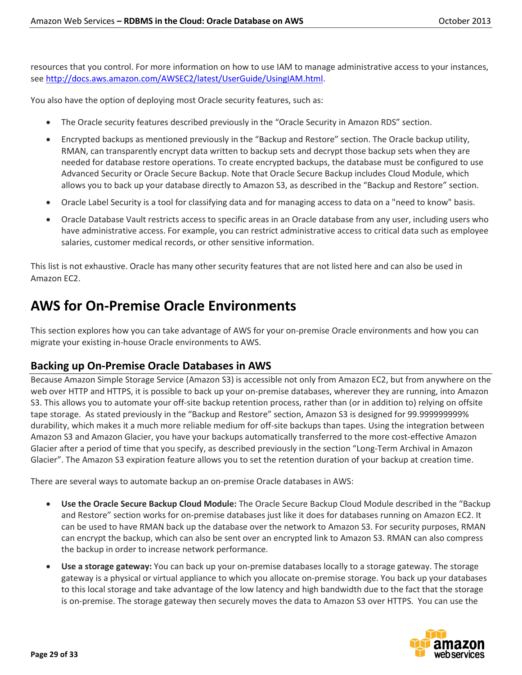resources that you control. For more information on how to use IAM to manage administrative access to your instances, se[e http://docs.aws.amazon.com/AWSEC2/latest/UserGuide/UsingIAM.html.](http://docs.aws.amazon.com/AWSEC2/latest/UserGuide/UsingIAM.html)

You also have the option of deploying most Oracle security features, such as:

- The Oracle security features described previously in the "Oracle Security in Amazon RDS" section.
- Encrypted backups as mentioned previously in the "Backup and Restore" section. The Oracle backup utility, RMAN, can transparently encrypt data written to backup sets and decrypt those backup sets when they are needed for database restore operations. To create encrypted backups, the database must be configured to use Advanced Security or Oracle Secure Backup. Note that Oracle Secure Backup includes Cloud Module, which allows you to back up your database directly to Amazon S3, as described in the "Backup and Restore" section.
- Oracle Label Security is a tool for classifying data and for managing access to data on a "need to know" basis.
- Oracle Database Vault restricts access to specific areas in an Oracle database from any user, including users who have administrative access. For example, you can restrict administrative access to critical data such as employee salaries, customer medical records, or other sensitive information.

This list is not exhaustive. Oracle has many other security features that are not listed here and can also be used in Amazon EC2.

# **AWS for On-Premise Oracle Environments**

This section explores how you can take advantage of AWS for your on-premise Oracle environments and how you can migrate your existing in-house Oracle environments to AWS.

## **Backing up On-Premise Oracle Databases in AWS**

Because Amazon Simple Storage Service (Amazon S3) is accessible not only from Amazon EC2, but from anywhere on the web over HTTP and HTTPS, it is possible to back up your on-premise databases, wherever they are running, into Amazon S3. This allows you to automate your off-site backup retention process, rather than (or in addition to) relying on offsite tape storage. As stated previously in the "Backup and Restore" section, Amazon S3 is designed for 99.999999999% durability, which makes it a much more reliable medium for off-site backups than tapes. Using the integration between Amazon S3 and Amazon Glacier, you have your backups automatically transferred to the more cost-effective Amazon Glacier after a period of time that you specify, as described previously in the section "Long-Term Archival in Amazon Glacier". The Amazon S3 expiration feature allows you to set the retention duration of your backup at creation time.

There are several ways to automate backup an on-premise Oracle databases in AWS:

- **Use the Oracle Secure Backup Cloud Module:** The Oracle Secure Backup Cloud Module described in the "Backup and Restore" section works for on-premise databases just like it does for databases running on Amazon EC2. It can be used to have RMAN back up the database over the network to Amazon S3. For security purposes, RMAN can encrypt the backup, which can also be sent over an encrypted link to Amazon S3. RMAN can also compress the backup in order to increase network performance.
- **Use a storage gateway:** You can back up your on-premise databases locally to a storage gateway. The storage gateway is a physical or virtual appliance to which you allocate on-premise storage. You back up your databases to this local storage and take advantage of the low latency and high bandwidth due to the fact that the storage is on-premise. The storage gateway then securely moves the data to Amazon S3 over HTTPS. You can use the

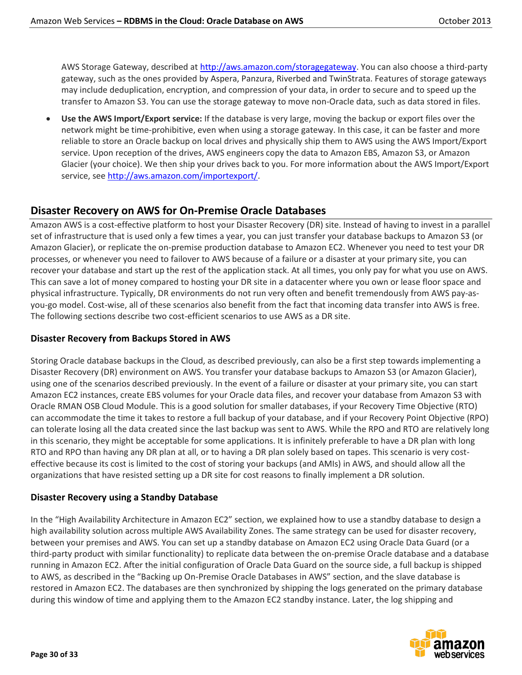AWS Storage Gateway, described a[t http://aws.amazon.com/storagegateway.](http://aws.amazon.com/storagegateway) You can also choose a third-party gateway, such as the ones provided by Aspera, Panzura, Riverbed and TwinStrata. Features of storage gateways may include deduplication, encryption, and compression of your data, in order to secure and to speed up the transfer to Amazon S3. You can use the storage gateway to move non-Oracle data, such as data stored in files.

 **Use the AWS Import/Export service:** If the database is very large, moving the backup or export files over the network might be time-prohibitive, even when using a storage gateway. In this case, it can be faster and more reliable to store an Oracle backup on local drives and physically ship them to AWS using the AWS Import/Export service. Upon reception of the drives, AWS engineers copy the data to Amazon EBS, Amazon S3, or Amazon Glacier (your choice). We then ship your drives back to you. For more information about the AWS Import/Export service, see [http://aws.amazon.com/importexport/.](http://aws.amazon.com/importexport/)

## **Disaster Recovery on AWS for On-Premise Oracle Databases**

Amazon AWS is a cost-effective platform to host your Disaster Recovery (DR) site. Instead of having to invest in a parallel set of infrastructure that is used only a few times a year, you can just transfer your database backups to Amazon S3 (or Amazon Glacier), or replicate the on-premise production database to Amazon EC2. Whenever you need to test your DR processes, or whenever you need to failover to AWS because of a failure or a disaster at your primary site, you can recover your database and start up the rest of the application stack. At all times, you only pay for what you use on AWS. This can save a lot of money compared to hosting your DR site in a datacenter where you own or lease floor space and physical infrastructure. Typically, DR environments do not run very often and benefit tremendously from AWS pay-asyou-go model. Cost-wise, all of these scenarios also benefit from the fact that incoming data transfer into AWS is free. The following sections describe two cost-efficient scenarios to use AWS as a DR site.

## **Disaster Recovery from Backups Stored in AWS**

Storing Oracle database backups in the Cloud, as described previously, can also be a first step towards implementing a Disaster Recovery (DR) environment on AWS. You transfer your database backups to Amazon S3 (or Amazon Glacier), using one of the scenarios described previously. In the event of a failure or disaster at your primary site, you can start Amazon EC2 instances, create EBS volumes for your Oracle data files, and recover your database from Amazon S3 with Oracle RMAN OSB Cloud Module. This is a good solution for smaller databases, if your Recovery Time Objective (RTO) can accommodate the time it takes to restore a full backup of your database, and if your Recovery Point Objective (RPO) can tolerate losing all the data created since the last backup was sent to AWS. While the RPO and RTO are relatively long in this scenario, they might be acceptable for some applications. It is infinitely preferable to have a DR plan with long RTO and RPO than having any DR plan at all, or to having a DR plan solely based on tapes. This scenario is very costeffective because its cost is limited to the cost of storing your backups (and AMIs) in AWS, and should allow all the organizations that have resisted setting up a DR site for cost reasons to finally implement a DR solution.

### **Disaster Recovery using a Standby Database**

In the "High Availability Architecture in Amazon EC2" section, we explained how to use a standby database to design a high availability solution across multiple AWS Availability Zones. The same strategy can be used for disaster recovery, between your premises and AWS. You can set up a standby database on Amazon EC2 using Oracle Data Guard (or a third-party product with similar functionality) to replicate data between the on-premise Oracle database and a database running in Amazon EC2. After the initial configuration of Oracle Data Guard on the source side, a full backup is shipped to AWS, as described in the "Backing up On-Premise Oracle Databases in AWS" section, and the slave database is restored in Amazon EC2. The databases are then synchronized by shipping the logs generated on the primary database during this window of time and applying them to the Amazon EC2 standby instance. Later, the log shipping and

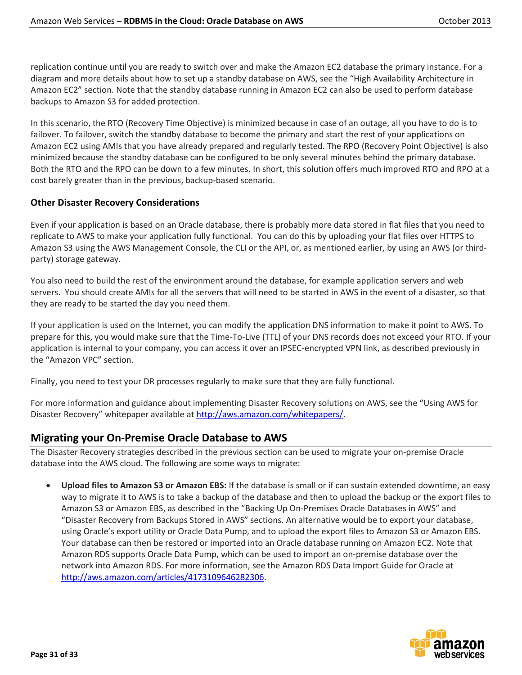replication continue until you are ready to switch over and make the Amazon EC2 database the primary instance. For a diagram and more details about how to set up a standby database on AWS, see the "High Availability Architecture in Amazon EC2" section. Note that the standby database running in Amazon EC2 can also be used to perform database backups to Amazon S3 for added protection.

In this scenario, the RTO (Recovery Time Objective) is minimized because in case of an outage, all you have to do is to failover. To failover, switch the standby database to become the primary and start the rest of your applications on Amazon EC2 using AMIs that you have already prepared and regularly tested. The RPO (Recovery Point Objective) is also minimized because the standby database can be configured to be only several minutes behind the primary database. Both the RTO and the RPO can be down to a few minutes. In short, this solution offers much improved RTO and RPO at a cost barely greater than in the previous, backup-based scenario.

## **Other Disaster Recovery Considerations**

Even if your application is based on an Oracle database, there is probably more data stored in flat files that you need to replicate to AWS to make your application fully functional. You can do this by uploading your flat files over HTTPS to Amazon S3 using the AWS Management Console, the CLI or the API, or, as mentioned earlier, by using an AWS (or thirdparty) storage gateway.

You also need to build the rest of the environment around the database, for example application servers and web servers. You should create AMIs for all the servers that will need to be started in AWS in the event of a disaster, so that they are ready to be started the day you need them.

If your application is used on the Internet, you can modify the application DNS information to make it point to AWS. To prepare for this, you would make sure that the Time-To-Live (TTL) of your DNS records does not exceed your RTO. If your application is internal to your company, you can access it over an IPSEC-encrypted VPN link, as described previously in the "Amazon VPC" section.

Finally, you need to test your DR processes regularly to make sure that they are fully functional.

For more information and guidance about implementing Disaster Recovery solutions on AWS, see the "[Using AWS for](http://d36cz9buwru1tt.cloudfront.net/AWS_Disaster_Recovery.pdf)  [Disaster Recovery](http://d36cz9buwru1tt.cloudfront.net/AWS_Disaster_Recovery.pdf)" whitepaper available at [http://aws.amazon.com/whitepapers/.](http://aws.amazon.com/whitepapers/)

## **Migrating your On-Premise Oracle Database to AWS**

The Disaster Recovery strategies described in the previous section can be used to migrate your on-premise Oracle database into the AWS cloud. The following are some ways to migrate:

 **Upload files to Amazon S3 or Amazon EBS:** If the database is small or if can sustain extended downtime, an easy way to migrate it to AWS is to take a backup of the database and then to upload the backup or the export files to Amazon S3 or Amazon EBS, as described in the "Backing Up On-Premises Oracle Databases in AWS" and "Disaster Recovery from Backups Stored in AWS" sections. An alternative would be to export your database, using Oracle's export utility or Oracle Data Pump, and to upload the export files to Amazon S3 or Amazon EBS. Your database can then be restored or imported into an Oracle database running on Amazon EC2. Note that Amazon RDS supports Oracle Data Pump, which can be used to import an on-premise database over the network into Amazon RDS. For more information, see the Amazon RDS Data Import Guide for Oracle at [http://aws.amazon.com/articles/4173109646282306.](http://aws.amazon.com/articles/4173109646282306)

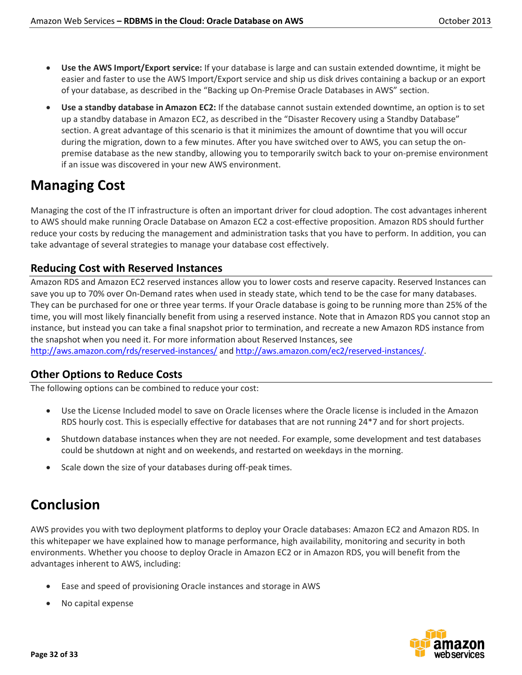- **Use the AWS Import/Export service:** If your database is large and can sustain extended downtime, it might be easier and faster to use the AWS Import/Export service and ship us disk drives containing a backup or an export of your database, as described in the "Backing up On-Premise Oracle Databases in AWS" section.
- **Use a standby database in Amazon EC2:** If the database cannot sustain extended downtime, an option is to set up a standby database in Amazon EC2, as described in the "Disaster Recovery using a Standby Database" section. A great advantage of this scenario is that it minimizes the amount of downtime that you will occur during the migration, down to a few minutes. After you have switched over to AWS, you can setup the onpremise database as the new standby, allowing you to temporarily switch back to your on-premise environment if an issue was discovered in your new AWS environment.

# **Managing Cost**

Managing the cost of the IT infrastructure is often an important driver for cloud adoption. The cost advantages inherent to AWS should make running Oracle Database on Amazon EC2 a cost-effective proposition. Amazon RDS should further reduce your costs by reducing the management and administration tasks that you have to perform. In addition, you can take advantage of several strategies to manage your database cost effectively.

# **Reducing Cost with Reserved Instances**

Amazon RDS and Amazon EC2 reserved instances allow you to lower costs and reserve capacity. Reserved Instances can save you up to 70% over On-Demand rates when used in steady state, which tend to be the case for many databases. They can be purchased for one or three year terms. If your Oracle database is going to be running more than 25% of the time, you will most likely financially benefit from using a reserved instance. Note that in Amazon RDS you cannot stop an instance, but instead you can take a final snapshot prior to termination, and recreate a new Amazon RDS instance from the snapshot when you need it. For more information about Reserved Instances, see

<http://aws.amazon.com/rds/reserved-instances/> an[d http://aws.amazon.com/ec2/reserved-instances/.](http://aws.amazon.com/ec2/reserved-instances/)

# **Other Options to Reduce Costs**

The following options can be combined to reduce your cost:

- Use the License Included model to save on Oracle licenses where the Oracle license is included in the Amazon RDS hourly cost. This is especially effective for databases that are not running 24\*7 and for short projects.
- Shutdown database instances when they are not needed. For example, some development and test databases could be shutdown at night and on weekends, and restarted on weekdays in the morning.
- Scale down the size of your databases during off-peak times.

# **Conclusion**

AWS provides you with two deployment platforms to deploy your Oracle databases: Amazon EC2 and Amazon RDS. In this whitepaper we have explained how to manage performance, high availability, monitoring and security in both environments. Whether you choose to deploy Oracle in Amazon EC2 or in Amazon RDS, you will benefit from the advantages inherent to AWS, including:

- Ease and speed of provisioning Oracle instances and storage in AWS
- No capital expense